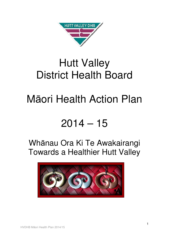

## Hutt Valley District Health Board

# Māori Health Action Plan

## $2014 - 15$

## Whānau Ora Ki Te Awakairangi Towards a Healthier Hutt Valley

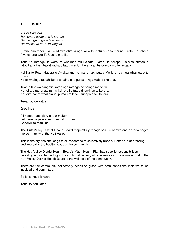#### **1. He Mihi**

Ti Hei Mauriora He honore he kororia ki te Atua He maungarongo ki te whenua He whakaaro pai ki te tangata

E mihi ana tenei ki a Te Atiawa otira ki nga iwi o te motu e noho mai nei i roto i te rohe o Awakairangi ara Te Upoko o te Ika.

Tenei te karanga, te wero, te whakapa atu i a tatou katoa kia horapa, kia whakakotahi o tatou kaha i te whakatikatika o tatou mauiui. He aha ai, he oranga mo te tangata.

Kei i a te Poari Hauora o Awakairangi te mana tiaki putea Me ki e rua nga whainga o te Poari.

Ko te whainga tuatahi ko te tohaina o te putea ki nga wahi e tika ana.

Tuarua ki a waihangatia katoa nga ratonga he painga mo te iwi. No reira e raurangatira ma kei roto i a tatou ringaringa te korero. No reira haere whakamua, pumau ra ki te kaupapa o te Hauora.

Tena koutou katoa.

**Greetings** 

All honour and glory to our maker. Let there be peace and tranquility on earth. Goodwill to mankind.

The Hutt Valley District Health Board respectfully recognises Te Atiawa and acknowledges the community of the Hutt Valley.

This is the cry, the challenge to all concerned to collectively unite our efforts in addressing and improving the health needs of the community.

The Hutt Valley District Health Board's Māori Health Plan has specific responsibilities in providing equitable funding in the continual delivery of core services. The ultimate goal of the Hutt Valley District Health Board is the wellness of the community.

Therefore the community collectively needs to grasp with both hands the initiative to be involved and committed.

So let's move forward.

Tena koutou katoa.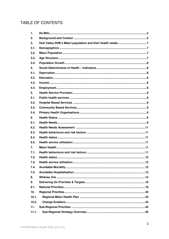## TABLE OF CONTENTS

| 1.              |  |
|-----------------|--|
| 2.              |  |
| 3.              |  |
| 3.1.            |  |
| 3.2.            |  |
| 3.3.            |  |
| 3.4.            |  |
| 4.              |  |
| 4.1.            |  |
| 4.2.            |  |
| 4.3.            |  |
| 4.4.            |  |
| 5.              |  |
| 5.1.            |  |
| 5.2.            |  |
| 5.3.            |  |
| 5.4.            |  |
| 6.              |  |
| 6.1.            |  |
| 6.2.            |  |
| 6.3.            |  |
| 6.4.            |  |
| 6.5.            |  |
| 7.              |  |
| 7.1.            |  |
| 7.2.            |  |
| 7.3.            |  |
| 7.4.            |  |
| 7.5.            |  |
| 8.              |  |
| 9.              |  |
| 9.1.            |  |
| 10 <sub>1</sub> |  |
| 10.1.           |  |
| 10.2.           |  |
| 11.             |  |
| 11.1.           |  |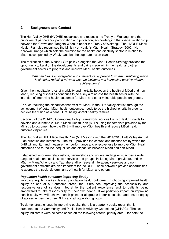## **2. Background and Context**

The Hutt Valley DHB (HVDHB) recognises and respects the Treaty of Waitangi, and the principles of partnership, participation and protection, acknowledging the special relationship between the Crown and Tangata Whenua under the Treaty of Waitangi. The HVDHB Māori Health Plan also recognises the Ministry of Health's Māori Health Strategy (2002): He Korowai Oranga which sets the direction for the health and disability sector in relation to Māori accompanied by Whakataataka, the separate action plan.

The realisation of the Whānau Ora policy alongside the Māori Health Strategy provides the opportunity to build on the developments and gains made within the health and other government sectors to progress and improve Māori health outcomes.

#### 'Whānau Ora is an integrated and intersectoral approach to whānau wellbeing which is aimed at reducing adverse whānau incidents and increasing positive whānau achievements'

Given the inequitable rates of morbidity and mortality between the health of Māori and non-Māori, reducing disparities continues to be a key aim across the health sector with the intention of improving health outcomes for Māori and other vulnerable population groups.

As such reducing the disparities that exist for Māori in the Hutt Valley district, through the achievement of better Māori health outcomes, needs to be the highest priority in order to achieve the vision of Whānau Ora, being vibrant healthy families.

Section 6 of the 2014/15 Operational Policy Framework requires District Health Boards to develop and submit a 2014/15 Māori Health Plan (MHP) using the template provided by the Ministry to document how the DHB will improve Māori health and reduce Māori health outcome disparities.

The Hutt Valley DHB Māori Health Plan (MHP) aligns with the 2014/2015 Hutt Valley Annual Plan priorities and intentions. The MHP provides the context and mechanism by which the DHB will monitor and measure their performance and effectiveness to improve Māori Health outcomes and to reduce inequalities and disparities between Māori and non-Māori. .

Established long-term relationships, partnerships and understandings exist across a wide range of health and social sector services and groups, including Māori providers, and Iwi Māori – Mana Whenua and Taurahere alike. Several interagency services and nongovernment networks are also important for the DHB. These networks provide opportunities to address the social determinants of health for Māori and others.

#### **Population health outcome: Improving Equity**

Improving equity is a key desired population health outcome. In choosing improved health equity as one of our outcome areas, the DHBs see improving the accessibility and responsiveness of services integral to the patient experience and to patients being empowered to take responsibility for their own health. If we positively impact on improving health equity we will achieve health gains for all groups in our population and ensure equity of access across the three DHBs and all population groups.

To demonstrate change in improving equity, there is a quarterly equity report that is presented to the Community and Public Health Advisory Committee (CPHAC). The set of equity indicators were selected based on the following criteria: priority area – for both the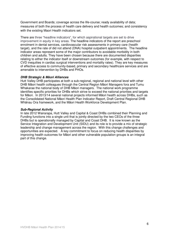Government and Boards; coverage across the life-course; ready availability of data; measures of both the process of health care delivery and health outcomes; and consistency with the existing Maori Health indicators set.

There are three "headline indicators", for which aspirational targets are set to drive improvement in equity in key areas. The headline indicators of the report are preschool enrolment in dental services, cardiovascular risk assessments in primary care (health target), and the rate of did not attend (DNA) hospital outpatient appointments. The headline indicator areas represent some of the major contributors to avoidable morbidity in both children and adults. They have been chosen because there are documented disparities relating to either the indicator itself or downstream outcomes (for example, with respect to CVD inequities in cardiac surgical interventions and mortality rates). They are key measures of effective access to community-based, primary and secondary healthcare services and are amenable to intervention by DHBs and PHOs.

#### **DHB Strategic & M**ā**ori Alliances**

Hutt Valley DHB participates at both a sub-regional, regional and national level with other DHB Māori health colleagues through the Central Region Māori Managers fora and Tumu Whakarae the national body of DHB Māori managers. The national work programme identifies specific priorities for DHBs which strive to exceed the national priorities and targets for Māori. In 2013/14 several national projects informed Māori health across DHBs, such as the Consolidated National Māori Health Plan Indicator Report, Draft Central Regional DHB Whānau Ora framework, and the Māori Health Workforce Development Plan.

#### **Sub-Regional Activity**

In late 2012 Wairarapa, Hutt Valley and Capital & Coast DHBs combined their Planning and Funding functions into a single unit that is jointly directed by the two CEOs of the three DHBs but is operationally managed by Capital and Coast DHB. It is now known as the Service Integration and Development Unit (SIDU) and its role is to provide a mix of strategic leadership and change management across the region. With this change challenges and opportunities are expected. A key commitment to focus on reducing health disparities by improving health outcomes for Māori and other vulnerable population groups is an integral part of this change.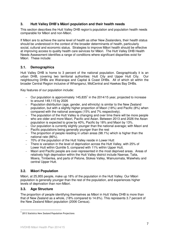## **3. Hutt Valley DHB's Mâori population and their health needs**

This section describes the Hutt Valley DHB region's population and population health needs comparable for Māori and non-Māori.

If Māori are to achieve the same level of health as other New Zealanders, their health status should be understood in the context of the broader determinants of health, particularly social, cultural and economic status. Strategies to improve Māori health should be effective at improving access to quality health care services for Māori. The Hutt Valley DHB Health Needs Assessment identifies a range of conditions where significant disparities exist for Māori. These include:

## **3.1. Demographics**

Hutt Valley DHB is home to 3 percent of the national population. Geographically it is an urban DHB, covering two territorial authorities: Hutt City and Upper Hutt City. Our neighbouring DHBs are Wairarapa and Capital & Coast DHBs. All of which sit within the broader Central Region inclusive of Whanganui, MidCentral and Hawkes Bay DHBs.

Key features of our population include:

- − Our population is approximately 145,835<sup>1</sup> in the 2014/15 year, projected to increase to around 149,115 by 2026
- − Population distribution (age, gender, and ethnicity) is similar to the New Zealand population, but with a slightly higher proportion of Maori (18%) and Pacific (8%) when compared with the national averages (15% and 7% respectively).
- − The population of the Hutt Valley is changing and over time there will be more people who are older and more Maori, Pacific and Asian. Between 2013 and 2026 the Asian population is expected to grow by 40%, Pacific by 18% and Maori by 13%.
- − Our population is currently slightly younger than the national average; with Maori and Pacific populations being generally younger than the rest
- − The proportion of people residing in urban areas (98.1%) which is higher than the national rate (86%).
- − 70% of the population of the Hutt Valley reside in Lower Hutt
- − There is variation in the level of deprivation across the Hutt Valley, with 25% of Lower Hutt within Quintile 5, compared with 11% within Upper Hutt.
- − Maori and Pacific people are over-represented in the most deprived areas. Areas of relatively high deprivation within the Hutt Valley district include Naenae, Taita, Moera, Timberlea, and parts of Petone, Stokes Valley, Wainuiomata, Waiwhetu and central Upper Hutt.

## **3.2. M**ā**ori Population**

Māori, at 25,955 people, make up 18% of the population in the Hutt Valley. Our Māori population is generally younger than the rest of the population, and experiences higher levels of deprivation than non-Māori.

## **3.3. Age Structure**

 $\overline{a}$ 

The proportion of people identifying themselves as Māori in Hutt Valley DHB is more than that of New Zealand as a whole, (18% compared to 14.6%). This represents 3.7 percent of the New Zealand Māori population (2006 Census).

<sup>&</sup>lt;sup>1</sup> 2013 Statistics New Zealand Population Projections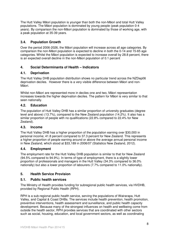The Hutt Valley Māori population is younger than both the non-Māori and total Hutt Valley populations. The Māori population is dominated by young people (peak population 0-4 years). By comparison the non-Māori population is dominated by those of working age, with a peak population at 35-39 years.

## **3.4. Population Growth**

Over the period 2006-2026, the Māori population will increase across all age categories. By comparison the non-Māori population is expected to decline in both the 0-14 and 15-65 age categories. Whilst the Māori population is expected to increase overall by 28.8 percent, there is an expected overall decline in the non-Māori population of 0.1 percent

## **4. Social Determinants of Health – Indicators**

## **4.1. Deprivation**

The Hutt Valley DHB population distribution shows no particular trend across the NZDep06 deprivation deciles. However there is a very visible difference between Māori and non-Māori.

Whilst non-Māori are represented more in deciles one and two, Māori representation increases towards the higher deprivation deciles. The pattern for Māori is very similar to that seen nationally.

## **4.2. Education**

The population of Hutt Valley DHB has a similar proportion of university graduates (degree level and above) (13.7%), compared to the New Zealand population (14.2%). It also has a similar proportion of people with no qualifications (22.8% compared to 22.4% for New Zealand).

## **4.3. Income**

The Hutt Valley DHB has a higher proportion of the population earning over \$30,000 in personal income; 41.8 percent compared to 37.3 percent for New Zealand. This represents a higher proportion of people earning around or above the average annual personal income in New Zealand, which stood at \$33,189 in 2006/07 (Statistics New Zealand, 2012).

## **4.4. Employment**

The employment rate for the Hutt Valley DHB population is similar to that for New Zealand (94.5% compared to 94.9%). In terms of type of employment, there is a slightly lower proportion of professionals and managers in the Hutt Valley (34.3% compared to 36.0% nationally) but also a lower proportion of labourers (7.7% compared to 11.0% nationally).

## **5. Health Service Provision**

## **5.1. Public health services**

The Ministry of Health provides funding for subregional public health services, via HVDHB, provided by Regional Public Health (RPH).

RPH is a sub-regional public health service, serving the populations of Wairarapa, Hutt Valley, and Capital & Coast DHBs. The services include health prevention, health promotion, preventive interventions, health assessment and surveillance, and public health capacity development. Because many of the strongest influences on health and wellbeing come from outside the health sector, RPH provides services that are coordinated with other sectors such as social, housing, education, and local government sectors, as well as coordinating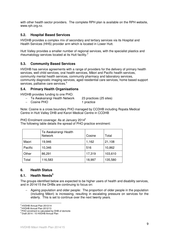with other health sector providers. The complete RPH plan is available on the RPH website, www.rph.org.nz.

## **5.2. Hospital Based Services**

HVDHB provides a complex mix of secondary and tertiary services via its Hospital and Health Services (HHS) provider arm which is located in Lower Hutt.

Hutt Valley provides a smaller number of regional services, with the specialist plastics and rheumatology services located at its Hutt facility.<sup>2</sup>

## **5.3. Community Based Services**

HVDHB has service agreements with a range of providers for the delivery of primary health services, well child services, oral health services, Māori and Pacific health services, community mental health services, community pharmacy and laboratory services, community diagnostic imaging services, aged residential care services, home based support services, palliative care services.<sup>3</sup>

#### **5.4. Primary Health Organisations**

HVDHB provides funding to one PHO:

- − Te Awakairangi Health Network 23 practices (25 sites)
- − Cosine PHO 1 practice

Note: Cosine is a cross boundary PHO managed by CCDHB including Ropata Medical Centre in Hutt Valley DHB and Karori Medical Centre in CCDHB

PHO Enrolment coverage: As at January 2014<sup>4</sup> The following table details the spread of PHO practice enrolment:

|         | Te Awakairangi Health<br><b>Network</b> | Cosine | Total   |
|---------|-----------------------------------------|--------|---------|
| Maori   | 19,946                                  | 1,162  | 21,108  |
| Pacific | 10,346                                  | 516    | 10,862  |
| Other   | 86,291                                  | 17,319 | 103,610 |
| Total   | 116,583                                 | 18,997 | 135,580 |

#### **6. Health Status**

## **6.1. Health Needs<sup>5</sup>**

The groups identified below are expected to be higher users of health and disability services, and in 2014/15 the DHBs are continuing to focus on:

− Ageing population and older people: The proportion of older people in the population (including Māori) is increasing, resulting in escalating pressure on services for the elderly. This is set to continue over the next twenty years.

<sup>&</sup>lt;sup>2</sup><br><sup>2</sup> HVDHB Annual Plan 2013/14

<sup>&</sup>lt;sup>3</sup> HVDHB Annual Plan 2012/13

<sup>4</sup>PHO enrolment is calculated by DHB of domicile

<sup>5</sup> Draft 2014 / 15 HVDHB Annual Plan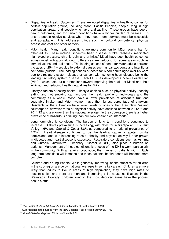- Disparities in Health Outcomes: There are noted disparities in health outcomes for certain population groups, including Māori, Pacific Peoples, people living in high deprivation areas, and people who have a disability. These groups have poorer health outcomes, and for certain conditions have a higher burden of disease. To ensure people receive services when they need them, services must be accessible and acceptable. This addresses things such as cultural competency, physical access and cost and other barriers.
- − Māori health: Many health conditions are more common for Māori adults than for other adults. These include ischaemic heart disease, stroke, diabetes, medicated high blood pressure, chronic pain and arthritis.<sup>6</sup> Māori have poor health outcomes across most indicators although differences are reducing for some areas such as immunisations and oral health. The leading causes of death for Māori adults between the ages of 25-44 were due to external causes such as car accidents and intentional self-harm (suicide). The leading causes of death for Māori adults aged over 65 were due to circulatory system disease or cancer, with ischemic heart disease being the leading circulatory system disease. Each DHB has developed a Māori Health Plan (MHP), which sets out our intentions toward improving the health of Māori and their whānau, and reducing health inequalities for Māori.
- Lifestyle factors affecting health: Lifestyle choices such as physical activity, healthy eating and not smoking can improve the health profile of individuals and the community as a whole. Māori have a lower prevalence of adequate fruit and vegetable intake, and Māori women have the highest percentage of smokers. Residents of the sub-region have lower levels of obesity than their New Zealand counterparts, however rates of physical activity have declined between 2006/07 and 2011/12 and are lower than the national average. In the sub-region there is a higher prevalence of hazardous drinking than our New Zealand counterparts<sup>7</sup>.
- Long term chronic conditions: The burden of long term conditions continues to increase. Diabetes prevalence is increasing, with rates for Wairarapa at 5.1%, Hutt Valley 4.6% and Capital & Coast 3.8% as compared to a national prevalence of  $4.9\%$ <sup>8</sup>. . Heart disease continues to be the leading cause of acute hospital admissions, and with increasing rates of obesity and physical activity further growth in diabetes and heart disease is expected. Respiratory conditions such as Asthma and Chronic Obstructive Pulmonary Disorder (COPD) also place a burden on patients. Management of these conditions is a focus of the DHB's work, particularly in the community. With an ageing population, the number of patients with multiple long term conditions will increase and these patients' health needs will become more complex.
- − Children and Young People: While generally improving, health statistics for children in the sub-region are below national averages in some key areas. Children are more likely than adults to live in areas of high deprivation, they have high rates of hospitalisation and there are high and increasing child abuse notifications in the Wairarapa. Typically, children living in the most deprived areas have the poorest health status.

 $\overline{a}$ 

<sup>6</sup> The Health of Maori Adults and Children, Ministry of Health, March 2013.

 $^7$  Sub-regional data sourced from the New Zealand Public Health Survey 2011/12.

<sup>&</sup>lt;sup>8</sup> Virtual Diabetes Register, Ministry of Health, 2011.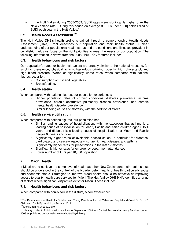− In the Hutt Valley during 2005-2009, SUDI rates were significantly higher than the New Zealand rate. During this period on average 3.6 [1.68 per 1000] babies died of SUDI each year in the Hutt Valley.<sup>9</sup>

## **6.2. Health Needs Assessment <sup>10</sup>**

The Hutt Valley DHB's health profile is gained through a comprehensive Health Needs Assessment (HNA)<sup>11</sup> that describes our population and their health status. A clear understanding of our population's health status and the conditions and illnesses prevalent in our district helps us focus on the right priorities to meet the needs of our population. The following information is drawn from the 2008 HNA. Key features include:

## **6.3. Health behaviours and risk factors**

Our population's rates for health risk factors are broadly similar to the national rates, i.e. for smoking prevalence, physical activity, hazardous drinking, obesity, high cholesterol, and high blood pressure. Worse or significantly worse rates, when compared with national figures, occur for:

- Consumption of fruit and vegetables
- Breastfeeding.

#### **6.4. Health status**

When compared with national figures, our population experiences:

- Higher population rates of chronic conditions; diabetes prevalence, asthma prevalence, chronic obstructive pulmonary disease prevalence, and chronic mental health disorder prevalence
- Similar leading causes of mortality, with the addition of stroke.

#### **6.5. Health service utilisation**

When compared with national figures, our population has:

- Similar leading causes of hospitalisation, with the exception that asthma is a leading cause of hospitalisation for Māori, Pacific and Asian children aged 0 to 4 years, and diabetes is a leading cause of hospitalisation for Māori and Pacific people 65 years and over
- Significantly higher rates of avoidable hospitalisation, in particular for diabetes, cardiovascular disease – especially ischaemic heart disease, and asthma
- Significantly higher rates for prescriptions in the last 12 months
- Significantly higher rates for emergency department attendances
- Lower number of GPs per 10,000 population.

## **7. M**ā**ori Health**

If Māori are to achieve the same level of health as other New Zealanders their health status should be understood in the context of the broader determinants of health, particularly social and economic status. Strategies to improve Māori health should be effective at improving access to quality health care services for Māori. The Hutt Valley DHB HNA identifies a range of factors where significant disparities exist for Māori. These include:

## **7.1. Health behaviours and risk factors:**

When compared with non-Māori in the district, Māori experience:

 $\overline{a}$ 

<sup>&</sup>lt;sup>9</sup> The Determinants of Health for Children and Young People in the Hutt Valley and Capital and Coast DHBs. NZ Child and Youth Epidemiology Service. 2012

**<sup>10</sup>** MoH Maori HNA 2009/2010

<sup>&</sup>lt;sup>11</sup> Ministry of Health Public Health Intelligence, September 2008 and Central Technical Advisory Services, June 2008 as published on our website www.huttvalleydhb.org.nz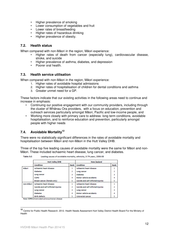- Higher prevalence of smoking
- Lower consumption of vegetables and fruit
- Lower rates of breastfeeding
- Higher rates of hazardous drinking
- Higher prevalence of obesity.

#### **7.2. Health status**

When compared with non-Māori in the region, Māori experience:

- Higher rates of death from cancer (especially lung), cardiovascular disease, stroke, and suicide
- Higher prevalence of asthma, diabetes, and depression
- Poorer oral health.

#### **7.3. Health service utilisation**

When compared with non-Māori in the region, Māori experience:

- 1. Higher rates of avoidable hospital admissions
- 2. Higher rates of hospitalisation of children for dental conditions and asthma
- 3. Greater unmet need for a GP.

These factors indicate that our existing activities in the following areas need to continue and increase in emphasis:

- Continuing our positive engagement with our community providers, including through the cluster of Whānau Ora providers, with a focus on education, prevention and outreach services particularly amongst Māori, Pacific and low-income people, and
- Working more closely with primary care to address: long term conditions, avoidable hospitalisation, and to reinforce education and prevention, particularly amongst people with higher needs

## **7.4. Avoidable Mortality<sup>12</sup>**

There were no statistically significant differences in the rates of avoidable mortality and hospitalisation between Māori and non-Māori in the Hutt Valley DHB.

Three of the top five leading causes of avoidable mortality were the same for Māori and non-Māori. These included ischaemic heart disease, lung cancer, and diabetes.

|           | <b>Hutt Valley DHB</b>              | <b>New Zealand</b> |                                     |  |
|-----------|-------------------------------------|--------------------|-------------------------------------|--|
|           | <b>Condition</b>                    | Condition          | Rank                                |  |
| Mäori     | <b>Ischaemic heart disease</b>      |                    | <b>Ischaemic heart disease</b>      |  |
|           | <b>Diabetes</b>                     | 2                  | Lung cancer                         |  |
|           | Lung cancer                         | 3                  | <b>Diabetes</b>                     |  |
|           | <b>COPD</b>                         |                    | <b>Motor vehicle accidents</b>      |  |
|           | Breast cancer (female only)         | 5                  | Suicide and self-inflicted injuries |  |
| non-Mäori | <b>Ischaemic heart disease</b>      |                    | Ischaemic heart disease             |  |
|           | Suicide and self-inflicted injuries | 2                  | Suicide and self-inflicted injuries |  |
|           | Lung cancer                         | 3                  | Lung cancer                         |  |
|           | <b>Diabetes</b>                     | 4                  | Motor vehicle accidents             |  |
|           | <b>Birth defects</b>                |                    | Colorectal cancer                   |  |

Table  $3:2:$ Leading causes of avoidable mortality, ethnicity, 0-74 years, 2006-08

Note: COPD=chronic obstructive pulmonary disease

**<sup>12</sup>** Centre for Public Health Research. 2012. Health Needs Assessment Hutt Valley District Health Board For the Ministry of Health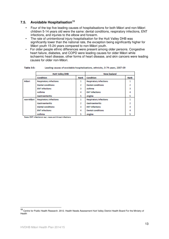## **7.5. Avoidable Hospitalisation<sup>13</sup>**

- Four of the top five leading causes of hospitalisations for both Māori and non-Māori children 5-14 years old were the same: dental conditions, respiratory infections, ENT infections, and injuries to the elbow and forearm.
- The rate of unintentional injury hospitalisation for the Hutt Valley DHB was significantly lower than the national rate, the exception being significantly higher for Māori youth 15-24 years compared to non-Māori youth.
- For older people ethnic differences were present among older persons. Congestive heart failure, diabetes, and COPD were leading causes for older Māori while ischaemic heart disease, other forms of heart disease, and skin cancers were leading causes for older non-Māori.

|           | <b>Hutt Valley DHB</b>        | <b>New Zealand</b> |                               |      |
|-----------|-------------------------------|--------------------|-------------------------------|------|
|           | Condition                     | Rank               | Condition                     | Rank |
| Mãori     | <b>Respiratory infections</b> | 1                  | <b>Respiratory infections</b> |      |
|           | <b>Dental conditions</b>      |                    | <b>Dental conditions</b>      |      |
|           | <b>ENT</b> infections         | ٩                  | Asthma                        |      |
|           | Asthma                        |                    | <b>ENT</b> infections         |      |
|           | <b>Gastroenteritis</b>        | 5                  | Angina                        |      |
| non-Mäori | <b>Respiratory infections</b> |                    | <b>Respiratory infections</b> |      |
|           | <b>Gastroenteritis</b>        |                    | <b>Gastroenteritis</b>        |      |
|           | <b>Dental conditions</b>      | 3                  | <b>ENT</b> infections         |      |
|           | <b>ENT</b> infections         |                    | <b>Dental conditions</b>      |      |
|           | Asthma                        |                    | Angina                        |      |

Table 3:5: Leading causes of avoidable hospitalisations, ethnicity, 0-74 years, 2007-09

Note: ENT infections= ear, nose and throat infections

**<sup>13</sup>** Centre for Public Health Research. 2012. Health Needs Assessment Hutt Valley District Health Board For the Ministry of Health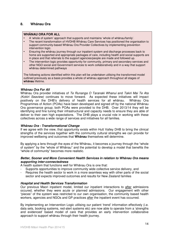## **8. Wh**ā**nau Ora**

#### **WH**Ā**NAU ORA FOR ALL**

- A 'whole of system' approach that supports and maintains 'whole of whānau/family'.
- The recent transformation of HVDHB Whānau Care Services has positioned the organisation to support community-based Whānau Ora Provider Collectives by implementing prevention intervention logic.
- Ensuring the whānau journey through our inpatient system and discharge processes back to home are supported and appropriate packages of care, including health and social supports are in place and that referrals to the support agencies/people are made and followed up.
- The intervention logic provides opportunity for community, primary and secondary services and other NGO social and Government services to work collaboratively and in a way that support whānau determined pathways

The following actions identified within this plan will be undertaken utilising the transformed model outlined previously as a basis provides a whole of whānau approach throughout all stages of **wh**ā**nau** lifetime.

#### **Wh**ā**nau Ora For All**

Whānau Ora provider initiatives of Te Runanga O Taranaki Whanui and Takiri Mai Te Ata (Kokiri Seaview) continues to move forward. As expected these initiatives will impact positively on the DHB's delivery of health services for all whānau. Whānau Ora Programmes of Action (POAs) have been developed and signed off by the national Whānau Ora governance group; both POAs were provided to the DHB. Over 2013/14 they will be identifying and fine tuning their infrastructural and capacity needs to ensure they are able of deliver to their own high expectations. The DHB plays a crucial role in working with these collectives across a wide range of services and initiatives for all families.

#### **Wh**ā**nau Ora - Transformational Change**

If we agree with the view, that opportunity exists within Hutt Valley DHB to bring the clinical strengths of the services together with the community cultural strengths we can provide for improved wellbeing and outcomes that **Wh**ā**nau** themselves will determine.

By applying a lens through the eyes of the Whānau, it becomes a journey through the "whole of system" by the "whole of Whānau" and the potential to develop a model that benefits the "whole of community" becomes more realistic.

#### **Better, Sooner and More Convenient Health Services in relation to Wh**ā**nau Ora means supporting inter-connectedness**

A health system that functions well for Whānau Ora is one that:

- Supports opportunities to improve community wide collective service delivery, and
- Requires the health sector to work in a more seamless way with other parts of the social sector and expects improved outcomes and results for New Zealand families

#### **Hospital and Health Services Transformation**

Our previous Maori inpatient model, limited our inpatient interactions to after admissions occured, whether they were acute or planned admissions. Our engagement with other "pieces" of the system was restricted to our own organisation, the community based health workers, agencies and NGOs and GP practices after the inpatient event has occurred.

By implementing an Intervention Logic utilising our patient 'trend' information effectively (i.e. data sets, booking systems, red-alert systems etc) are now able to operate from a 'strengths and evidenced' based model of care that provides an early intervention collaborative approach to support whānau through their health journey.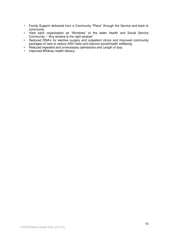- Family Support delivered from a Community "Place" through the Service and back to community.
- View each organisation as "Windows" to the wider Health and Social Service Community – 'Any window is the right window"
- Reduced DNA's for elective surgery and outpatient clinics and improved community packages of care to reduce ASH rates and improve social/health wellbeing.
- Reduced repeated and unnecessary admissions and Length of stay
- Improved Whānau health literacy.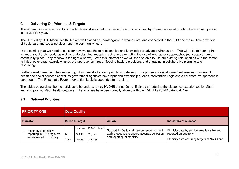## **9. Delivering On Priorities & Targets**

The Whanau Ora intervention logic model demonstrates that to achieve the outcome of healthy whanau we need to adapt the way we operate in the 2014/15 year.

The Hutt Valley DHB Maori Health Unit are well placed as knowledgable in whanau ora, and connected to the DHB and the multiple providers of healthcare and social services, and the community itself.

In the coming year we need to consider how we use these relationships and knowledge to advance whanau ora. This will include hearing from whanau about their needs, as well as understanding, mapping, using and promoting the use of whanau ora approaches (eg, support from a community 'place', 'any window is the right window'). With this information we will then be able to use our existing relationships with the sector to influence change towards whanau ora approaches through feeding back to providers, and engaging in collaborative planning and resourcing.

Further development of Intervention Logic Frameworks for each priority is underway. The process of development will ensure providers of health and social services as well as government agencies have input and ownership of each intervention Logic and a collaborative approach is paramount. The Rheumatic Fever Intervention Logic is appended to this plan.

The tables below describe the activities to be undertaken by HVDHB during 2014/15 aimed at reducing the disparities experienced by Māori and at improving Māori health outcome. The activities have been directly aligned with the HVDHB's 2014/15 Annual Plan.

## **9.1. National Priorities**

| <b>PRIORITY ONE</b> |                                                                               |       | <b>Data Quality</b> |                |                                                                              |                                               |
|---------------------|-------------------------------------------------------------------------------|-------|---------------------|----------------|------------------------------------------------------------------------------|-----------------------------------------------|
| Indicator           |                                                                               |       | 2014/15 Target      |                | <b>Action</b>                                                                | Indicators of success                         |
|                     | Accuracy of ethnicity<br>reporting in PHO registers<br>as measured by Primary |       | Baseline            | 2014/15 Target | Support PHOs to maintain current enrolment                                   | Ethnicity data by service area is visible and |
|                     |                                                                               | M     | 22.045              | 25,955         | audit processes to ensure accurate collection<br>and reporting of ethnicity. | reported on quarterly                         |
|                     |                                                                               | Total | 140,367             | 145.835        |                                                                              | Ethnicity data accuracy targets at NASC and   |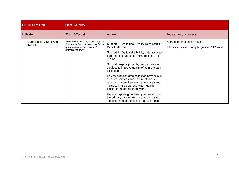| <b>PRIORITY ONE</b>                   | <b>Data Quality</b>                                                                                                                    |                                                                                                                                                                                                                                                                                                                                                                                                                                                                                                                                                                                                                                                          |                                                                            |  |  |  |  |
|---------------------------------------|----------------------------------------------------------------------------------------------------------------------------------------|----------------------------------------------------------------------------------------------------------------------------------------------------------------------------------------------------------------------------------------------------------------------------------------------------------------------------------------------------------------------------------------------------------------------------------------------------------------------------------------------------------------------------------------------------------------------------------------------------------------------------------------------------------|----------------------------------------------------------------------------|--|--|--|--|
| <b>Indicator</b>                      | 2014/15 Target                                                                                                                         | <b>Action</b>                                                                                                                                                                                                                                                                                                                                                                                                                                                                                                                                                                                                                                            | <b>Indicators of success</b>                                               |  |  |  |  |
| Care Ethnicity Data Audit<br>Toolkit. | Note: This is the enrolment target for<br>the Hutt Valley domiciled population,<br>not a measure of accuracy of<br>ethnicity reporting | Support PHOs to use Primary Care Ethnicity<br>Data Audit Toolkit.<br>Support PHOs to set ethnicity data accuracy<br>performance targets for PHO registers for<br>2014/15.<br>Support hospital projects, programmes and<br>services to improve quality of ethnicity data<br>collection.<br>Review ethnicity data collection protocols in<br>selected services and ensure ethnicity<br>reporting by provider arm service area and<br>included in the quarterly Maori Health<br>Indicators reporting framework.<br>Regular reporting on the implementation of<br>the primary care ethnicity data tool, issues<br>identified and strategies to address these | Care coordination services<br>Ethnicity data accuracy targets at PHO level |  |  |  |  |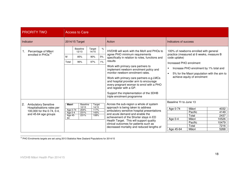| <b>PRIORITY TWO</b>                                                                                                   | <b>Access to Care</b>                                                                             |                                                   |                                                                                                                                                                                                                                                                                                                                                                                                                                                                      |                                                                                                                                                                                                                                                       |
|-----------------------------------------------------------------------------------------------------------------------|---------------------------------------------------------------------------------------------------|---------------------------------------------------|----------------------------------------------------------------------------------------------------------------------------------------------------------------------------------------------------------------------------------------------------------------------------------------------------------------------------------------------------------------------------------------------------------------------------------------------------------------------|-------------------------------------------------------------------------------------------------------------------------------------------------------------------------------------------------------------------------------------------------------|
| Indicator                                                                                                             | 2014/15 Target                                                                                    |                                                   | Action                                                                                                                                                                                                                                                                                                                                                                                                                                                               | Indicators of success                                                                                                                                                                                                                                 |
| Percentage of Māori<br>enrolled in PHOs <sup>14</sup>                                                                 | <b>Baseline</b><br>12/13<br>M<br>85%<br>96%<br>Total                                              | Target<br>$\%$<br>14/15<br>5%<br>90%<br>1%<br>97% | HVDHB will work with the MoH and PHOs to<br>agree PHO minimum requirements<br>specifically in relation to roles, functions and<br>results<br>Work with primary care partners to<br>implement newborn enrolment policy and<br>monitor newborn enrolment rates.<br>Work with primary care partners e.g.LMCs<br>and hospital provider arm to encourage<br>every pregnant woman to enrol with a PHO<br>and register with a GP.<br>Support the implementation of the 3DHB | 100% of newborns enrolled with general<br>practice (measured at 6 weeks, measure B<br>code uptake)<br>Increased PHO enrolment<br>Increase PHO enrolment by 1% total and<br>5% for the Maori population with the aim to<br>achieve equity of enrolment |
| 2.<br><b>Ambulatory Sensitive</b><br>Hospitalisations rates per<br>100,000 for the 0-74, 0-4,<br>and 45-64 age groups | <b>Maori</b><br>Baseline<br>12/13<br>Age 0-74<br>204%<br>231%<br>Age 0-4<br>Age 45-<br>231%<br>64 | Target<br>14/15<br>117%<br>143%<br>108%           | triple enrolment programme<br>Across the sub-region a whole of system<br>approach is being taken to address<br>ambulatory sensitive hospital presentations<br>and acute demand and enable the<br>achievement of the Shorter stays in ED<br>Health Target. This will support quality<br>clinical outcomes for patients such as<br>decreased mortality and reduced lengths of                                                                                          | Baseline Yr to June 13<br>Māori<br>4032<br>Age 0-74<br>Pacific<br>4149<br>Total<br>2437<br>Māori<br>10526<br>Age $0-4$<br>Pacific<br>10479<br>Total<br>7216<br>Age 45-64<br>Māori<br>5268                                                             |

<sup>14</sup> PHO Enrolments targets are set using 2013 Statistics New Zealand Populations for 2014/15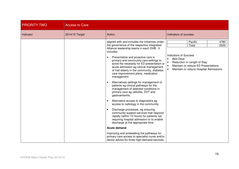| <b>PRIORITY TWO</b> | <b>Access to Care</b> |                                                                                                                                                                                                                                                                                                                                                                                                                                                                                                                                                                                                                                                                                                                                                                                                                                                                                                                                                                                                                                                                                                |                                                                                                                                                                                                     |
|---------------------|-----------------------|------------------------------------------------------------------------------------------------------------------------------------------------------------------------------------------------------------------------------------------------------------------------------------------------------------------------------------------------------------------------------------------------------------------------------------------------------------------------------------------------------------------------------------------------------------------------------------------------------------------------------------------------------------------------------------------------------------------------------------------------------------------------------------------------------------------------------------------------------------------------------------------------------------------------------------------------------------------------------------------------------------------------------------------------------------------------------------------------|-----------------------------------------------------------------------------------------------------------------------------------------------------------------------------------------------------|
| Indicator           | 2014/15 Target        | Action                                                                                                                                                                                                                                                                                                                                                                                                                                                                                                                                                                                                                                                                                                                                                                                                                                                                                                                                                                                                                                                                                         | Indicators of success                                                                                                                                                                               |
|                     |                       | aligned with and includes the initiatives under<br>the governance of the respective integrated<br>Alliance leadership teams in each DHB. It<br>includes:<br>Preventative and proactive care in<br>primary and community care settings to<br>avoid the necessity for ED presentation or<br>acute admission eg clinical management<br>of frail elderly in the community, diabetes<br>care improvement plans, medication<br>management<br>Alternatives settings for management of<br>patients eg clinical pathways for the<br>management of selected conditions in<br>primary care eg cellulitis, DVT and<br>gastroenteritis.<br>Alternative access to diagnostics eg<br>access to radiology in the community<br>Discharge processes. eg ensuring<br>community support services that respond<br>rapidly (within 12 hours) for patients not<br>requiring hospital admission or to enable<br>discharge at the appropriate time<br><b>Acute demand</b><br>Improving and embedding the pathways for<br>primary care access to specialist nurse and/or<br>doctor advice for three high-demand services | Pacific<br>4780<br>2530<br>Total<br><b>Indicators of Success</b><br><b>Bed Days</b><br>Reduction in Length of Stay<br>Maintain or reduce ED Presentations<br>Maintain or reduce Hospital Admissions |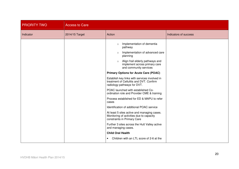| <b>PRIORITY TWO</b> | <b>Access to Care</b> |                                                                                                                                                                                                                                                                                                                                                                                                                                                                                                                                                                                                                                                                                                                                                                                                                                                                                  |                       |
|---------------------|-----------------------|----------------------------------------------------------------------------------------------------------------------------------------------------------------------------------------------------------------------------------------------------------------------------------------------------------------------------------------------------------------------------------------------------------------------------------------------------------------------------------------------------------------------------------------------------------------------------------------------------------------------------------------------------------------------------------------------------------------------------------------------------------------------------------------------------------------------------------------------------------------------------------|-----------------------|
| Indicator           | 2014/15 Target        | Action                                                                                                                                                                                                                                                                                                                                                                                                                                                                                                                                                                                                                                                                                                                                                                                                                                                                           | Indicators of success |
|                     |                       | Implementation of dementia<br>$\circ$<br>pathway<br>Implementation of advanced care<br>$\circ$<br>planning<br>Align frail elderly pathways and<br>$\circ$<br>implement across primary care<br>and community services<br><b>Primary Options for Acute Care (POAC)</b><br>Establish key links with services involved in<br>treatment of Cellulitis and DVT. Confirm<br>radiology pathways for DVT.<br>POAC launched with established Co-<br>ordination role and Provider CME & training<br>Process established for ED & MAPU to refer<br>cases<br>Identification of additional POAC service<br>At least 5 sites active and managing cases.<br>Monitoring of activities due to capacity<br>constraints in Primary Care<br>Further 3 sites across the Hutt Valley active<br>and managing cases.<br><b>Child Oral Health</b><br>Children with an LTL score of 2-6 at the<br>$\bullet$ |                       |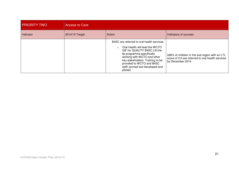| <b>PRIORITY TWO</b> | <b>Access to Care</b> |                                                                                                                                                                                                                                                                                                       |                                                                                                                          |  |  |  |
|---------------------|-----------------------|-------------------------------------------------------------------------------------------------------------------------------------------------------------------------------------------------------------------------------------------------------------------------------------------------------|--------------------------------------------------------------------------------------------------------------------------|--|--|--|
| Indicator           | 2014/15 Target        | Action                                                                                                                                                                                                                                                                                                | Indicators of success                                                                                                    |  |  |  |
|                     |                       | B4SC are referred to oral health services.<br>Oral Health will lead the WCTO<br>$\cap$<br>QIF for QUALITY B4SC Lift-the-<br>lip programme specifically<br>working with WCTO and other<br>key stakeholders. Training to be<br>provided to WCTO and B4SC<br>staff; prompt tool developed and<br>piloted | ≥86% of children in the sub-region with an LTL<br>score of 2-6 are referred to oral health services<br>by December 2014. |  |  |  |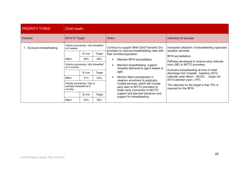| <b>PRIORITY THREE</b>      | Child health                                                        |                             |                                                               |                                                                                                                                                                                 |                                                                                        |                                             |  |  |
|----------------------------|---------------------------------------------------------------------|-----------------------------|---------------------------------------------------------------|---------------------------------------------------------------------------------------------------------------------------------------------------------------------------------|----------------------------------------------------------------------------------------|---------------------------------------------|--|--|
| Indicator                  | 2014/15 Target                                                      |                             |                                                               | Action                                                                                                                                                                          | Indicators of success                                                                  |                                             |  |  |
| 1. Exclusive breastfeeding | Infants exclusively, fully breastfed<br>at 6 weeks                  |                             |                                                               | Continue to support Well Child/Tamariki Ora<br>providers to improve breastfeeding rates with<br>Target<br>their enrolled population                                             | Increased utilisation of breastfeeding /specialist<br>lactation services.              |                                             |  |  |
|                            |                                                                     | <b>B</b> Line               |                                                               |                                                                                                                                                                                 | <b>BFHI</b> accreditation                                                              |                                             |  |  |
|                            | Māori<br>68%<br>48%                                                 | Maintain BFHI accreditation | Pathway developed to receive early referrals                  |                                                                                                                                                                                 |                                                                                        |                                             |  |  |
|                            | Infants exclusively, fully breastfed<br>at 3 months                 |                             |                                                               | Maintain breastfeeding support<br>(hospital delivered to age 6 weeks of                                                                                                         | from LMC to WCTO providers                                                             |                                             |  |  |
|                            |                                                                     | <b>B</b> Line               | Target                                                        | age)                                                                                                                                                                            | Exclusive breastfeeding at time of initial<br>discharge from hospital: baseline (2012) |                                             |  |  |
|                            | Māori                                                               | 41%                         | 54%                                                           | Monitor Maori participation in<br>newborn enrolment to publically<br>funded services, which will include<br>early alert to WCTO providers to<br>foster early connection to WCTO | 2014 calendar year) >75%<br>required for the BFHI.                                     | calendar year) Maori - 80.8%, target (for   |  |  |
|                            | Infants exclusively, fully or<br>partially breastfed at 6<br>months |                             |                                                               |                                                                                                                                                                                 |                                                                                        | The rationale for the target is that 75% is |  |  |
|                            | <b>B</b> Line                                                       | Target                      | support and planned handover and<br>support for breastfeeding |                                                                                                                                                                                 |                                                                                        |                                             |  |  |
| Māori<br>53%<br>59%        |                                                                     |                             |                                                               |                                                                                                                                                                                 |                                                                                        |                                             |  |  |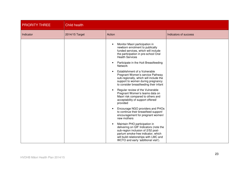| <b>PRIORITY THREE</b> | <b>Child health</b> |                                                                                                                                                                                                                                                                                                                                                                                                                                                                                                                                                                                                                                                                                                                                  |                       |  |
|-----------------------|---------------------|----------------------------------------------------------------------------------------------------------------------------------------------------------------------------------------------------------------------------------------------------------------------------------------------------------------------------------------------------------------------------------------------------------------------------------------------------------------------------------------------------------------------------------------------------------------------------------------------------------------------------------------------------------------------------------------------------------------------------------|-----------------------|--|
| Indicator             | 2014/15 Target      | Action                                                                                                                                                                                                                                                                                                                                                                                                                                                                                                                                                                                                                                                                                                                           | Indicators of success |  |
|                       |                     | Monitor Maori participation in<br>newborn enrolment to publically<br>funded services, which will include<br>the participation in pre-school Oral<br><b>Health Services</b><br>Participate in the Hutt Breastfeeding<br><b>Network</b><br>Establishment of a Vulnerable<br>Pregnant Women's service Pathway<br>sub-regionally, which will include the<br>support to women during pregnancy<br>to consider breastfeeding their infant<br>Regular review of the Vulnerable<br>Pregnant Women's teams data on<br>Maori risk compared to others and<br>acceptability of support offered/<br>provided<br>Encourage NGO providers and PHOs<br>to continue their breastfeed support/<br>encouragement for pregnant women/<br>new mothers |                       |  |
|                       |                     | Maintain PHO participation in<br>delivering on QIF Indicators (note the<br>sub-region inclusion of 2/52 post-<br>partum smoke-free indicator, which<br>will build relationships with LMC and<br>WCTO and early 'additional visit').                                                                                                                                                                                                                                                                                                                                                                                                                                                                                              |                       |  |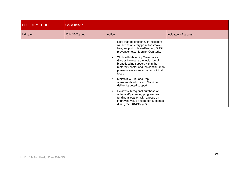| <b>PRIORITY THREE</b> | Child health   |                                                                                                                                                                                                                                                                                                                                                                                                                                                                                                                                                                                                                                        |                       |  |  |
|-----------------------|----------------|----------------------------------------------------------------------------------------------------------------------------------------------------------------------------------------------------------------------------------------------------------------------------------------------------------------------------------------------------------------------------------------------------------------------------------------------------------------------------------------------------------------------------------------------------------------------------------------------------------------------------------------|-----------------------|--|--|
| Indicator             | 2014/15 Target | Action                                                                                                                                                                                                                                                                                                                                                                                                                                                                                                                                                                                                                                 | Indicators of success |  |  |
|                       |                | Note that the chosen QIF Indicators<br>will act as an entry point for smoke-<br>free, support of breastfeeding, SUDI<br>prevention etc. Monitor Quarterly.<br>Work with Maternity Governance<br>Groups to ensure the inclusion of<br>breastfeeding support within the<br>maternity sector and the continuum to<br>primary care as an important clinical<br>focus<br>Maintain WCTO and Pepi<br>agreements who reach Maori to<br>deliver targeted support<br>Review sub-regional purchase of<br>antenatal/ parenting programmes<br>funding allocation with a focus on<br>improving value and better outcomes<br>during the 2014/15 year. |                       |  |  |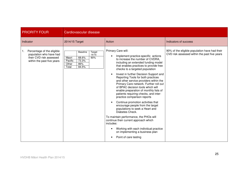| <b>PRIORITY FOUR</b>                                                                                                 | <b>Cardiovascular disease</b>                                                                                     |                                                                                                                                                                                                                                                                                                                                                                                                                                                                                                                                                                                                                                                                                                                                                                                                                                                                                   |                                                                                               |
|----------------------------------------------------------------------------------------------------------------------|-------------------------------------------------------------------------------------------------------------------|-----------------------------------------------------------------------------------------------------------------------------------------------------------------------------------------------------------------------------------------------------------------------------------------------------------------------------------------------------------------------------------------------------------------------------------------------------------------------------------------------------------------------------------------------------------------------------------------------------------------------------------------------------------------------------------------------------------------------------------------------------------------------------------------------------------------------------------------------------------------------------------|-----------------------------------------------------------------------------------------------|
| Indicator                                                                                                            | 2014/15 Target                                                                                                    | Action                                                                                                                                                                                                                                                                                                                                                                                                                                                                                                                                                                                                                                                                                                                                                                                                                                                                            | Indicators of success                                                                         |
| Percentage of the eligible<br>1.<br>population who have had<br>their CVD risk assessed<br>within the past five years | Target<br><b>Baseline</b><br>14/15<br>68.6%<br>90%<br>Maori<br>73.3%<br>Pacific<br>Other<br>86%<br>84.5%<br>Total | Primary Care will:<br>Implement practice-specific actions<br>to increase the number of CVDRA,<br>including an extended funding model<br>that enables practices to provide free<br>checks to a targeted population<br>Invest in further Decision Support and<br>Reporting Tools for both practices<br>and other service providers within the<br>Primary Care network. Further roll out<br>of BPAC decision tools which will<br>enable preparation of monthly lists of<br>patients requiring checks, and inter-<br>practice comparison reports<br>Continue promotion activities that<br>encourage people from the target<br>populations to seek a Heart and<br>Diabetes Check.<br>To maintain performance, the PHOs will<br>continue their current approach which<br>includes:<br>Working with each individual practice<br>on implementing a business plan<br>Point of care testing | 90% of the eligible population have had their<br>CVD risk assessed within the past five years |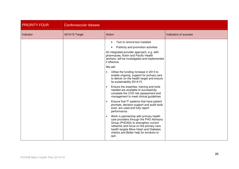| <b>PRIORITY FOUR</b> | Cardiovascular disease |                                                                                                                                                                                                                                                                                                                                                                                                                                                                                                                                                                                                                                                                                                                                                                                                                                                                                                                                                                                                               |                       |  |  |
|----------------------|------------------------|---------------------------------------------------------------------------------------------------------------------------------------------------------------------------------------------------------------------------------------------------------------------------------------------------------------------------------------------------------------------------------------------------------------------------------------------------------------------------------------------------------------------------------------------------------------------------------------------------------------------------------------------------------------------------------------------------------------------------------------------------------------------------------------------------------------------------------------------------------------------------------------------------------------------------------------------------------------------------------------------------------------|-----------------------|--|--|
| Indicator            | 2014/15 Target         | Action                                                                                                                                                                                                                                                                                                                                                                                                                                                                                                                                                                                                                                                                                                                                                                                                                                                                                                                                                                                                        | Indicators of success |  |  |
|                      |                        | Text to remind tool installed<br>$\bullet$<br>Publicity and promotion activities<br>An integrated provider approach, e.g. with<br>pharmacies, Kokiri and Pacific Health<br>workers, will be investigated and implemented<br>if effective.<br>We will:<br>Utilise the funding increase in 2013 to<br>enable ongoing support for primary care<br>to deliver on the health target and ensure<br>its sustainability 2014/15<br>Ensure the expertise, training and tools<br>needed are available to successfully<br>complete the CVD risk assessment and<br>management to meet clinical guidelines<br>Ensure that IT systems that have patient<br>prompts, decision support and audit tools<br>exist, are used and fully report<br>performance.<br>Work in partnership with primary health<br>care providers through the PHO Advisory<br>Group (PHOAG) to strengthen current<br>networks and focus on the primary care<br>health targets More Heart and Diabetes<br>checks and Better help for smokers to<br>quit. |                       |  |  |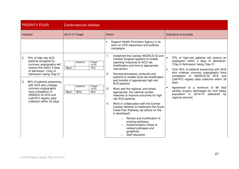| <b>PRIORITY FOUR</b>                                                                                                                                                                                                                                                                                                                                         | Cardiovascular disease                                                                                          |                                                                                                                                                                                                                                                                                                                                                                                                                                                                                                                                                                                                                                                                                                                                                                                              |                                                                                                                                                                                                                                                                                                                                                                                                                                                                       |
|--------------------------------------------------------------------------------------------------------------------------------------------------------------------------------------------------------------------------------------------------------------------------------------------------------------------------------------------------------------|-----------------------------------------------------------------------------------------------------------------|----------------------------------------------------------------------------------------------------------------------------------------------------------------------------------------------------------------------------------------------------------------------------------------------------------------------------------------------------------------------------------------------------------------------------------------------------------------------------------------------------------------------------------------------------------------------------------------------------------------------------------------------------------------------------------------------------------------------------------------------------------------------------------------------|-----------------------------------------------------------------------------------------------------------------------------------------------------------------------------------------------------------------------------------------------------------------------------------------------------------------------------------------------------------------------------------------------------------------------------------------------------------------------|
| Indicator                                                                                                                                                                                                                                                                                                                                                    | 2014/15 Target                                                                                                  | Action                                                                                                                                                                                                                                                                                                                                                                                                                                                                                                                                                                                                                                                                                                                                                                                       | Indicators of success                                                                                                                                                                                                                                                                                                                                                                                                                                                 |
|                                                                                                                                                                                                                                                                                                                                                              |                                                                                                                 | Support Health Promotion Agency in its<br>work on CVD awareness and publicity<br>campaigns                                                                                                                                                                                                                                                                                                                                                                                                                                                                                                                                                                                                                                                                                                   |                                                                                                                                                                                                                                                                                                                                                                                                                                                                       |
| 70% of high-risk ACS<br>2.<br>patients accepted for<br>coronary angiography will<br>receive this within 3 days<br>of admission. ('Day of<br>Admission' being 'Day 0')<br>95% of patients presenting<br>3.<br>with ACS who undergo<br>coronary angiography<br>have completion of<br>ANZACS QI ACS and<br>Cath/PCI registry data<br>collection within 30 days. | <b>Baseline</b><br>Target<br>14/15<br>70%<br>Maori<br><b>Baseline</b><br>Target<br>14/15<br>Maori<br>85%<br>95% | 1.<br>Implement the Cardiac ANZACS-QI and<br>Cardiac Surgical registers to enable<br>reporting measures of ACS risk<br>stratification and time to appropriate<br>intervention<br>2.<br>Develop processes, protocols and<br>systems to enable local risk stratification<br>and transfer of appropriate high risk<br><b>ACS</b> patients<br>3.<br>Work with the regional, and where<br>appropriate, the national cardiac<br>networks to improve outcomes for high<br>risk ACS patients.<br>Work in collaboration with the Central<br>4.<br>Cardiac Network to implement the Acute<br>Chest Pain Pathway (as advice on this<br>is developed).<br>Review and modification of<br>existing pathways<br>Implementation ofnew or<br>revised pathways and<br>guidelines<br>Staff education<br>$\circ$ | 70% of high-risk patients will receive an<br>angiogram within 3 days of admission.<br>('Day of Admission' being 'Day 0')<br>Over 95% of patients presenting with ACS<br>$\bullet$<br>who undergo coronary angiography have<br>completion of ANZACS-QI ACS and<br>Cath/PCI registry data collection within 30<br>days.<br>Agreement to a minimum of 96 total<br>cardiac surgery discharges for Hutt Valley<br>population in 2014/15 (delivered by<br>regional service) |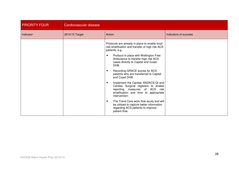| <b>PRIORITY FOUR</b> | Cardiovascular disease |                                                                                                                                                                                                                                                                                                                                                                                                                                                                                                                                                                                                                                                                                                                                      |                       |  |  |
|----------------------|------------------------|--------------------------------------------------------------------------------------------------------------------------------------------------------------------------------------------------------------------------------------------------------------------------------------------------------------------------------------------------------------------------------------------------------------------------------------------------------------------------------------------------------------------------------------------------------------------------------------------------------------------------------------------------------------------------------------------------------------------------------------|-----------------------|--|--|
| Indicator            | 2014/15 Target         | Action                                                                                                                                                                                                                                                                                                                                                                                                                                                                                                                                                                                                                                                                                                                               | Indicators of success |  |  |
|                      |                        | Protocols are already in place to enable local<br>risk stratification and transfer of high risk ACS<br>patients, e.g.<br>Protocol in place with Wellington Free<br>$\bullet$<br>Ambulance to transfer high risk ACS<br>cases directly to Capital and Coast<br>DHB.<br>Recording GRACE scores for ACS<br>$\bullet$<br>patients who are transferred to Capital<br>and Coast DHB.<br>Implement the Cardiac ANZACS-QI and<br>$\bullet$<br>Cardiac Surgical registers to enable<br>reporting measures of ACS risk<br>stratification and time to appropriate<br>intervention:<br>The Trend Care work flow acuity tool will<br>$\bullet$<br>be utilised to capture better information<br>regarding ACS patients to improve<br>patient flow. |                       |  |  |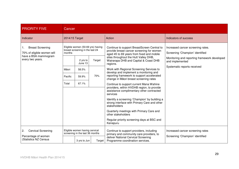| <b>PRIORITY FIVE</b>                                                                              |                                                                                             | Cancer                                                                                      |                                                                                                                                                                                                                                                                                                                                                 |                                                                                                                                                                                                                                           |                                                                                                                                         |
|---------------------------------------------------------------------------------------------------|---------------------------------------------------------------------------------------------|---------------------------------------------------------------------------------------------|-------------------------------------------------------------------------------------------------------------------------------------------------------------------------------------------------------------------------------------------------------------------------------------------------------------------------------------------------|-------------------------------------------------------------------------------------------------------------------------------------------------------------------------------------------------------------------------------------------|-----------------------------------------------------------------------------------------------------------------------------------------|
| Indicator                                                                                         | 2014/15 Target                                                                              |                                                                                             |                                                                                                                                                                                                                                                                                                                                                 | Action                                                                                                                                                                                                                                    | Indicators of success                                                                                                                   |
| <b>Breast Screening</b><br>70% of eligible women will<br>have a BSA mammogram<br>every two years. | months                                                                                      | Eligible women (50-69 yrs) having<br>breast screening in the last 24<br>2 yrs to<br>June 13 | Target                                                                                                                                                                                                                                                                                                                                          | Continue to support BreastScreen Central to<br>provide breast cancer screening for women<br>aged 45 to 69 years from fixed and mobile<br>sites throughout the Hutt Valley DHB,<br>Wairarapa DHB and Capital & Coast DHB                   | Increased cancer screening rates.<br>Screening 'Champion' identified<br>Monitoring and reporting framework developed<br>and implemented |
|                                                                                                   | Māori<br>Pacific<br>Total                                                                   | 58.5%<br>59.9%<br>67.1%                                                                     | regions.<br>Work with Regional Screening Services to<br>develop and implement a monitoring and<br>reporting framework to support accelerated<br>70%<br>change in Māori breast screening rates<br>Continue to support current Mana Wahine<br>providers, within HVDHB region, to provide<br>assistance complimentary other contracted<br>services | Systematic reports received                                                                                                                                                                                                               |                                                                                                                                         |
|                                                                                                   |                                                                                             |                                                                                             |                                                                                                                                                                                                                                                                                                                                                 | Identify a screening 'Champion' by building a<br>strong interface with Primary Care and other<br>stakeholders<br>Quarterly meetings with Primary Care and<br>other stakeholders<br>Regular priority screening days at BSC and<br>Kenepuru |                                                                                                                                         |
| <b>Cervical Screening</b><br>2.<br>Percentage of women<br>(Statistics NZ Census                   | Eligible women having cervical<br>screening in the last 36 months<br>3 yrs to Jun<br>Target |                                                                                             |                                                                                                                                                                                                                                                                                                                                                 | Continue to support providers, including<br>primary and community care providers, to<br>deliver National Cervical Screening<br>Programme coordination services.                                                                           | Increased cancer screening rates<br>Screening 'Champion' identified                                                                     |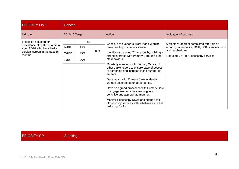| <b>PRIORITY FIVE</b>                                       |                | Cancer |     |                                                                                                                                                  |                                                |  |
|------------------------------------------------------------|----------------|--------|-----|--------------------------------------------------------------------------------------------------------------------------------------------------|------------------------------------------------|--|
| Indicator                                                  | 2014/15 Target |        |     | Action                                                                                                                                           | Indicators of success                          |  |
| projection adjusted for                                    |                | 13     |     | Continue to support current Mana Wahine                                                                                                          | 6 Monthly report of completed referrals by     |  |
| prevalence of hysterectomies)<br>aged 25-69 who have had a | Māori          | 64%    |     | providers to provide assistance                                                                                                                  | ethnicity, attendance, DNR, DNA, cancellations |  |
| cervical screen in the past 36                             | Pacific        | 63%    | 80% | Identify a screening 'Champion' by building a                                                                                                    | and reschedules.                               |  |
| months                                                     | Total          | 80%    |     | strong interface with Primary Care and other<br>stakeholders                                                                                     | Reduced DNA to Colposcopy services             |  |
|                                                            |                |        |     | Quarterly meetings with Primary Care and<br>other stakeholders to ensure ease of access<br>to screening and increase in the number of<br>smears. |                                                |  |
|                                                            |                |        |     | Data match with Primary Care to identify<br>women unscreened/underscreened.                                                                      |                                                |  |
|                                                            |                |        |     | Develop agreed processes with Primary Care<br>to engage women into screening in a<br>sensitive and appropriate manner.                           |                                                |  |
|                                                            |                |        |     | Monitor colposcopy DNAs and support the<br>Colposcopy services with initiatives aimed at<br>reducing DNAs                                        |                                                |  |

## PRIORITY SIX

Smoking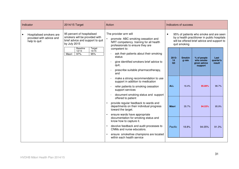| Indicator |                                                                      | 2014/15 Target                                                                                                  | Action                                                                                                                                                                                                          |                                                                                                                                                                    |                               | Indicators of success   |                                                      |                             |  |
|-----------|----------------------------------------------------------------------|-----------------------------------------------------------------------------------------------------------------|-----------------------------------------------------------------------------------------------------------------------------------------------------------------------------------------------------------------|--------------------------------------------------------------------------------------------------------------------------------------------------------------------|-------------------------------|-------------------------|------------------------------------------------------|-----------------------------|--|
|           | Hospitalised smokers are<br>provided with advice and<br>help to quit | 95 percent of hospitalised<br>smokers will be provided with<br>brief advice and support to quit<br>by July 2015 | The provider arm will<br>promote ABC smoking cessation and<br>NRT competency training for all health<br>professionals to ensure they are                                                                        | 95% of patients who smoke and are seen<br>$\bullet$<br>by a health practitioner in public hospitals<br>will be offered brief advice and support to<br>quit smoking |                               |                         |                                                      |                             |  |
|           |                                                                      | <b>Baseline</b><br>Target<br>12/13<br>14/15<br>97%<br>95%<br>Maori                                              | competent to:<br>ask their patients about their smoking<br>status<br>give identified smokers brief advice to<br>quit,<br>prescribe suitable pharmacotherapy,<br>and                                             |                                                                                                                                                                    | 2013-<br>14<br>O <sub>3</sub> | <b>Smokin</b><br>g rate | % of people<br>who smoke<br>given advice<br>/support | Last<br>quarter's<br>result |  |
|           |                                                                      |                                                                                                                 | make a strong recommendation to use<br>support in addition to medication<br>refer patients to smoking cessation<br>support services<br>document smoking status and support                                      |                                                                                                                                                                    | <b>ALL</b>                    | 16.4%                   | 95.89%                                               | 96.7%                       |  |
|           |                                                                      |                                                                                                                 | offered to patient<br>provide regular feedback to wards and<br>departments on their individual progress<br>toward the target.<br>ensure wards have appropriate                                                  |                                                                                                                                                                    | <b>Māori</b>                  | 35.7%                   | 94.53%                                               | 95.9%                       |  |
|           |                                                                      |                                                                                                                 | documentation for smoking status and<br>know how to capture it.<br>devolve feedback and audit processes to<br>CNMs and nurse educators.<br>ensure smokefree champions are located<br>within each health service |                                                                                                                                                                    | Pacific                       | 18.8%                   | 94.05%                                               | 91.3%                       |  |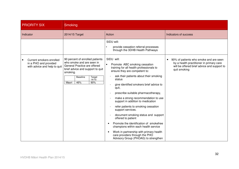| <b>PRIORITY SIX</b>                                                               | <b>Smoking</b>                                                                                                                                                                                            |                                                                                                                                                                                                                                                                                                                                                                                                                                                                                                                                                                                                                                                                                      |                                                                                                                                                   |
|-----------------------------------------------------------------------------------|-----------------------------------------------------------------------------------------------------------------------------------------------------------------------------------------------------------|--------------------------------------------------------------------------------------------------------------------------------------------------------------------------------------------------------------------------------------------------------------------------------------------------------------------------------------------------------------------------------------------------------------------------------------------------------------------------------------------------------------------------------------------------------------------------------------------------------------------------------------------------------------------------------------|---------------------------------------------------------------------------------------------------------------------------------------------------|
| Indicator                                                                         | 2014/15 Target                                                                                                                                                                                            | Action                                                                                                                                                                                                                                                                                                                                                                                                                                                                                                                                                                                                                                                                               | Indicators of success                                                                                                                             |
|                                                                                   |                                                                                                                                                                                                           | SIDU will:<br>provide cessation referral processes<br>through the 3DHB Health Pathways                                                                                                                                                                                                                                                                                                                                                                                                                                                                                                                                                                                               |                                                                                                                                                   |
| Current smokers enrolled<br>in a PHO and provided<br>with advice and help to quit | 90 percent of enrolled patients<br>who smoke and are seen in<br>General Practice are offered<br>brief advice and support to quit<br>smoking.<br><b>Baseline</b><br>Target<br>14/15<br>Maori<br>46%<br>90% | SIDU will:<br>Promote ABC smoking cessation<br>training for all health professionals to<br>ensure they are competent to:<br>ask their patients about their smoking<br>status<br>give identified smokers brief advice to<br>quit,<br>prescribe suitable pharmacotherapy,<br>make a strong recommendation to use<br>support in addition to medication<br>refer patients to smoking cessation<br>support services.<br>document smoking status and support<br>offered to patient<br>Promote the identification of smokefree<br>champions within each health service<br>Work in partnership with primary health<br>care providers through the PHO<br>Advisory Group (PHOAG) to strengthen | 90% of patients who smoke and are seen<br>by a health practitioner in primary care<br>will be offered brief advice and support to<br>quit smoking |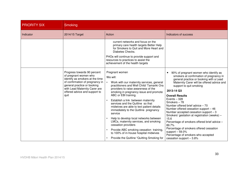| <b>PRIORITY SIX</b> | <b>Smoking</b>                                                                                                                                                                                                                      |                                                                                                                                                                                                                                                                                                                                                                                                                                                                                                                                                                                                                                                        |                                                                                                                                                                                                                                                                                                                                                                                                                                                                                                                                                                                                                                                         |
|---------------------|-------------------------------------------------------------------------------------------------------------------------------------------------------------------------------------------------------------------------------------|--------------------------------------------------------------------------------------------------------------------------------------------------------------------------------------------------------------------------------------------------------------------------------------------------------------------------------------------------------------------------------------------------------------------------------------------------------------------------------------------------------------------------------------------------------------------------------------------------------------------------------------------------------|---------------------------------------------------------------------------------------------------------------------------------------------------------------------------------------------------------------------------------------------------------------------------------------------------------------------------------------------------------------------------------------------------------------------------------------------------------------------------------------------------------------------------------------------------------------------------------------------------------------------------------------------------------|
| Indicator           | 2014/15 Target                                                                                                                                                                                                                      | Action                                                                                                                                                                                                                                                                                                                                                                                                                                                                                                                                                                                                                                                 | Indicators of success                                                                                                                                                                                                                                                                                                                                                                                                                                                                                                                                                                                                                                   |
|                     |                                                                                                                                                                                                                                     | current networks and focus on the<br>primary care health targets Better Help<br>for Smokers to Quit and More Heart and<br>Diabetes Checks.<br>PHOs will continue to provide support and<br>resources to practices to assist the<br>achievement of the health targets                                                                                                                                                                                                                                                                                                                                                                                   |                                                                                                                                                                                                                                                                                                                                                                                                                                                                                                                                                                                                                                                         |
|                     | Progress towards 90 percent<br>of pregnant women who<br>identify as smokers at the time<br>of confirmation of pregnancy in<br>general practice or booking<br>with Lead Maternity Carer are<br>offered advice and support to<br>quit | Pregnant women<br>We will:<br>Work with our maternity services, general<br>practitioners and Well Child/ Tamariki Ora<br>providers to raise awareness of the<br>smoking in pregnancy issue and promote<br>ABC or EBI training.<br>Establish a link between maternity<br>services and the Quitline so that<br>midwives are able to text patient details<br>immediately to the Quitline pregnancy<br>service<br>Help to develop local networks between<br>LMCs, maternity services, and smoking<br>cessation providers<br>Provide ABC smoking cessation training,<br>to 100% of in-house hospital midwives<br>Provide the Quitline "Quitting Smoking for | 90% of pregnant women who identify as<br>smokers at confirmation of pregnancy in<br>general practice or booking with a Lead<br>Maternity Carer will be offered advice and<br>support to quit smoking<br>2013-14 Q3<br><b>Overall Results</b><br>Events $-328$<br>Smokers-78<br>Number offered brief advice - 70<br>Number offered cessation support $-46$<br>Number accepted cessation support $-3$<br>Smokers' gestation at registration (weeks) -<br>15.6<br>Percentage of smokers offered brief advice -<br>89.7%<br>Percentage of smokers offered cessation<br>support $-59.0\%$<br>Percentage of smokers who accepted<br>cessation support $-3.8%$ |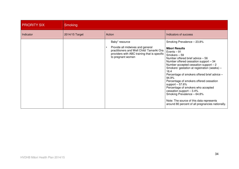| <b>PRIORITY SIX</b> | <b>Smoking</b> |                                                                                                                                                                       |                                                                                                                                                                                                                                                                                                                                                                                                                                                                                                                                                                                           |  |  |  |
|---------------------|----------------|-----------------------------------------------------------------------------------------------------------------------------------------------------------------------|-------------------------------------------------------------------------------------------------------------------------------------------------------------------------------------------------------------------------------------------------------------------------------------------------------------------------------------------------------------------------------------------------------------------------------------------------------------------------------------------------------------------------------------------------------------------------------------------|--|--|--|
| Indicator           | 2014/15 Target | Action                                                                                                                                                                | Indicators of success                                                                                                                                                                                                                                                                                                                                                                                                                                                                                                                                                                     |  |  |  |
|                     |                | Baby" resource<br>Provide all midwives and general<br>practitioners and Well Child/ Tamariki Ora<br>providers with ABC training that is specific<br>to pregnant women | Smoking Prevalence - 23.8%<br><b>Māori Results</b><br>Events $-91$<br>Smokers-59<br>Number offered brief advice $-56$<br>Number offered cessation support - 34<br>Number accepted cessation support $-2$<br>Smokers' gestation at registration (weeks) -<br>16.4<br>Percentage of smokers offered brief advice -<br>94.9%<br>Percentage of smokers offered cessation<br>support $-57.6%$<br>Percentage of smokers who accepted<br>cessation support $-3.4%$<br>Smoking Prevalence - 64.8%<br>Note: The source of this data represents<br>around 80 percent of all pregnancies nationally. |  |  |  |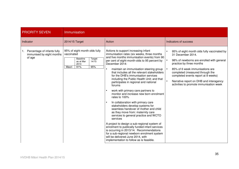| <b>PRIORITY SEVEN</b>                                              | <b>Immunisation</b>                                                                                                           |                                                                                                                                                                                                                                                                                                                                                                                                                                                                                                                                                                                                                                                                                                                                                                                                                                                                                                                                                                                                                                       |                                                                                                                                                                                                                                                                                                                                              |
|--------------------------------------------------------------------|-------------------------------------------------------------------------------------------------------------------------------|---------------------------------------------------------------------------------------------------------------------------------------------------------------------------------------------------------------------------------------------------------------------------------------------------------------------------------------------------------------------------------------------------------------------------------------------------------------------------------------------------------------------------------------------------------------------------------------------------------------------------------------------------------------------------------------------------------------------------------------------------------------------------------------------------------------------------------------------------------------------------------------------------------------------------------------------------------------------------------------------------------------------------------------|----------------------------------------------------------------------------------------------------------------------------------------------------------------------------------------------------------------------------------------------------------------------------------------------------------------------------------------------|
| Indicator                                                          | 2014/15 Target                                                                                                                | Action                                                                                                                                                                                                                                                                                                                                                                                                                                                                                                                                                                                                                                                                                                                                                                                                                                                                                                                                                                                                                                | Indicators of success                                                                                                                                                                                                                                                                                                                        |
| Percentage of infants fully<br>immunised by eight months<br>of age | 95% of eight month olds fully<br>vaccinated<br><b>Baseline</b><br>Target<br>14/15<br>as at Mar<br>2014<br>91%<br>95%<br>Maori | Actions to support increasing infant<br>immunisation rates (six weeks, three months<br>and five months immunisation events) from 90<br>per cent of eight-month-olds to 95 percent by<br>December 2014:<br>maintain an immunisation steering group<br>that includes all the relevant stakeholders<br>for the DHB's immunisation services<br>including the Public Health Unit; and that<br>participates in regional and national<br>forums<br>work with primary care partners to<br>monitor and increase new born enrolment<br>rates to 100%<br>In collaboration with primary care<br>stakeholders develop systems for<br>seamless handover of mother and child<br>as they move from: maternity care<br>services to general practice and WCTO<br>services<br>A project to design a sub-regional system of<br>enrolment to publically funded infant services<br>is occurring in 2013/14. Recommendations<br>for a sub-regional newborn enrolment system<br>will be delivered June 2014, with<br>implementation to follow as is feasible. | 95% of eight month olds fully vaccinated by<br>31 December 2014.<br>98% of newborns are enrolled with general<br>practice by three months<br>85% of 6 week immunisations are<br>completed (measured through the<br>completed events report at 8 weeks)<br>Narrative report on DHB and interagency<br>activities to promote immunisation week |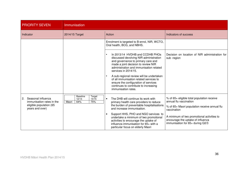| <b>PRIORITY SEVEN</b>                                                                               | Immunisation                                                       |                                                                                                                                                                                                                           |                                                                                                                                     |
|-----------------------------------------------------------------------------------------------------|--------------------------------------------------------------------|---------------------------------------------------------------------------------------------------------------------------------------------------------------------------------------------------------------------------|-------------------------------------------------------------------------------------------------------------------------------------|
| Indicator                                                                                           | 2014/15 Target                                                     | Action                                                                                                                                                                                                                    | Indicators of success                                                                                                               |
|                                                                                                     |                                                                    | Enrolment is targeted to B-enrol, NIR, WCTO,<br>Oral health, BCG, and NBHS.                                                                                                                                               |                                                                                                                                     |
|                                                                                                     |                                                                    | In 2013/14 HVDHB and CCDHB PHOs<br>discussed devolving NIR administration<br>and governance to primary care and<br>made a joint decision to review NIR<br>administration and immunisation related<br>services in 2014/15. | Decision on location of NIR administration for<br>sub-region                                                                        |
|                                                                                                     |                                                                    | A sub-regional review will be undertaken<br>of all immunisation related services to<br>ensure the configuration of services<br>continues to contribute to increasing<br>immunisation rates.                               |                                                                                                                                     |
| Seasonal influenza<br>2.<br>immunisation rates in the<br>eligible population (65<br>years and over) | <b>Baseline</b><br>Target<br>12/13<br>14/15<br>75%<br>64%<br>Maori | The DHB will continue its work with<br>primary health care providers to reduce<br>the burden of preventable hospitalisations<br>and increase immunisation.                                                                | % of 65+ eligible total population receive<br>annual flu vaccination<br>% of 65+ Maori population receive annual flu<br>vaccination |
|                                                                                                     |                                                                    | Support HHS, PHO and NGO services to<br>undertake a minimum of two promotional<br>activities to encourage the uptake of<br>influenza immunisation for 65+ with a<br>particular focus on elderly Maori                     | A minimum of two promotional activities to<br>encourage the uptake of influenza<br>immunisation for 65+ during Q2/3                 |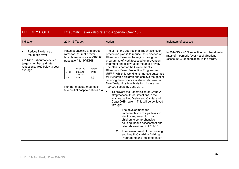| <b>PRIORITY EIGHT</b>                                                                                                                      | Rheumatic Fever (also refer to Appendix One: 13.2)                                                                                                                                                                                                                                                           |                                                                                                                                                                                                                                                                                                                                                                                                                                                                                                                                                                                                                                                                                                                                                                                                                                                                                                                                                                                                                                                                                 |                                                                                                                                        |
|--------------------------------------------------------------------------------------------------------------------------------------------|--------------------------------------------------------------------------------------------------------------------------------------------------------------------------------------------------------------------------------------------------------------------------------------------------------------|---------------------------------------------------------------------------------------------------------------------------------------------------------------------------------------------------------------------------------------------------------------------------------------------------------------------------------------------------------------------------------------------------------------------------------------------------------------------------------------------------------------------------------------------------------------------------------------------------------------------------------------------------------------------------------------------------------------------------------------------------------------------------------------------------------------------------------------------------------------------------------------------------------------------------------------------------------------------------------------------------------------------------------------------------------------------------------|----------------------------------------------------------------------------------------------------------------------------------------|
| Indicator                                                                                                                                  | 2014/15 Target                                                                                                                                                                                                                                                                                               | Action                                                                                                                                                                                                                                                                                                                                                                                                                                                                                                                                                                                                                                                                                                                                                                                                                                                                                                                                                                                                                                                                          | Indicators of success                                                                                                                  |
| Reduce incidence of<br>rheumatic fever<br>2014/2015 rheumatic fever<br>target - number and rate<br>reductions, 40% below 3-year<br>average | Rates at baseline and target<br>rates for rheumatic fever<br>hospitalisations (cases/100,00<br>population) for HVDHB<br><b>Baseline</b><br>Target<br>$2009/10-$<br><b>DHB</b><br>14/15<br>2011/12<br>$\overline{2.9}$<br>Hutt<br>4.9<br>Number of acute rheumatic<br>fever initial hospitalisations $\leq 4$ | The aim of the sub-regional rheumatic fever<br>prevention plan is to reduce the incidence of<br>Rheumatic Fever in the region through a<br>programme of work focussed on prevention,<br>treatment and follow-up of rheumatic fever.<br>The plan is part of the Government's<br><b>Rheumatic Fever Prevention Programme</b><br>(RFPP) which is working to improve outcomes<br>for vulnerable children and achieve the goal of<br>reducing the incidence of rheumatic fever in<br>New Zealand by two thirds to 1.4 case per<br>100,000 people by June 2017.<br>To prevent the transmission of Group A<br>$\bullet$<br>streptococcal throat infections in the<br>Wairarapa, Hutt Valley and Capital and<br>Coast DHB region. This will be achieved<br>through:<br>The development and<br>$1_{\cdot}$<br>implementation of a pathway to<br>identify and refer high risk<br>children to comprehensive<br>housing, health assessment and<br>referrals services, in 2014/15.<br>The development of the Housing<br>2.<br>and Health Capability Building<br>Programme and implementation | In 2014/15 a 40 % reduction from baseline in<br>rates of rheumatic fever hospitalisations<br>(cases/100,000 population) is the target. |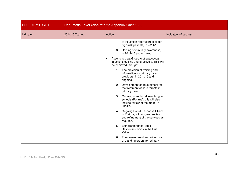| <b>PRIORITY EIGHT</b> | Rheumatic Fever (also refer to Appendix One: 13.2) |                                                                                                                                                                                            |                       |
|-----------------------|----------------------------------------------------|--------------------------------------------------------------------------------------------------------------------------------------------------------------------------------------------|-----------------------|
| Indicator             | 2014/15 Target                                     | Action                                                                                                                                                                                     | Indicators of success |
|                       |                                                    | of insulation referral process for<br>high-risk patients, in 2014/15.<br>3. Raising community awareness,<br>in 2014/15 and ongoing.<br>Actions to treat Group A streptococcal<br>$\bullet$ |                       |
|                       |                                                    | infections quickly and effectively. This will<br>be achieved through:                                                                                                                      |                       |
|                       |                                                    | 1. The provision of training and<br>information for primary care<br>providers, in 2014/15 and<br>ongoing.                                                                                  |                       |
|                       |                                                    | Development of an audit tool for<br>2.<br>the treatment of sore throats in<br>primary care                                                                                                 |                       |
|                       |                                                    | 3.<br>Ongoing sore throat swabbing in<br>schools (Porirua), this will also<br>include review of the model in<br>2014/15.                                                                   |                       |
|                       |                                                    | 4. Ongoing Rapid Response Clinics<br>in Porirua, with ongoing review<br>and refinement of the services as<br>required.                                                                     |                       |
|                       |                                                    | 5.<br><b>Establishment of Rapid</b><br>Response Clinics in the Hutt<br>Valley.                                                                                                             |                       |
|                       |                                                    | The development and wider use<br>6.<br>of standing orders for primary                                                                                                                      |                       |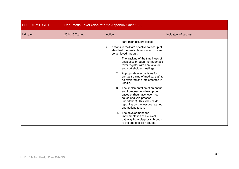| <b>PRIORITY EIGHT</b> | Rheumatic Fever (also refer to Appendix One: 13.2) |                                                                                                                                                                                                                                |                       |
|-----------------------|----------------------------------------------------|--------------------------------------------------------------------------------------------------------------------------------------------------------------------------------------------------------------------------------|-----------------------|
| Indicator             | 2014/15 Target                                     | Action                                                                                                                                                                                                                         | Indicators of success |
|                       |                                                    | care (high risk practices).<br>Actions to facilitate effective follow-up of<br>identified rheumatic fever cases. This will<br>be achieved through:                                                                             |                       |
|                       |                                                    | The tracking of the timeliness of<br>1.<br>antibiotics through the rheumatic<br>fever register with annual audit<br>and stakeholder meetings.                                                                                  |                       |
|                       |                                                    | Appropriate mechanisms for<br>2.<br>annual training of medical staff to<br>be explored and implemented in<br>2014/15.                                                                                                          |                       |
|                       |                                                    | The implementation of an annual<br>3.<br>audit process to follow up on<br>cases of rheumatic fever (root<br>cause analysis process<br>undertaken). This will include<br>reporting on the lessons learned<br>and actions taken. |                       |
|                       |                                                    | 4. The development and<br>implementation of a clinical<br>pathway from diagnosis through<br>to the end of bicillin course.                                                                                                     |                       |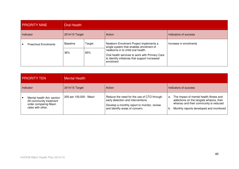| <b>PRIORITY NINE</b>        | <b>Oral Health</b> |        |                                                                                                                                                                                                                                         |                        |
|-----------------------------|--------------------|--------|-----------------------------------------------------------------------------------------------------------------------------------------------------------------------------------------------------------------------------------------|------------------------|
| Indicator                   | 2014/15 Target     |        | Action                                                                                                                                                                                                                                  | Indicators of success  |
| <b>Preschool Enrolments</b> | Baseline           | Target | Newborn Enrolment Project implements a<br>single system that enables enrolment of<br>newborns in to child oral health.<br>Oral health services to work with Primary Care<br>to identify initiatives that support increased<br>enrolment | Increase in enrolments |
|                             | 36%                | 85%    |                                                                                                                                                                                                                                         |                        |

| <b>PRIORITY TEN</b>                                                                                | <b>Mental Health</b>    |                                                                                                                                                                  |                                                                                                                                                                                   |
|----------------------------------------------------------------------------------------------------|-------------------------|------------------------------------------------------------------------------------------------------------------------------------------------------------------|-----------------------------------------------------------------------------------------------------------------------------------------------------------------------------------|
| Indicator                                                                                          | 2014/15 Target          | Action                                                                                                                                                           | Indicators of success                                                                                                                                                             |
| Mental health Act: section<br>29 community treatment<br>order comparing Maori<br>rates with other. | 205 per 100,000 - Maori | Reduce the need for the use of CTO through<br>early detection and interventions<br>Develop a monthly report to monitor, review<br>and identify areas of concern. | a. The impact of mental health illness and<br>addictions on the tangata whaiora, their<br>whanau and their community is reduced<br>Monthly reports developed and monitored<br>Ib. |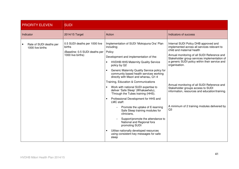| <b>PRIORITY ELEVEN</b>                      | <b>SUDI</b>                                                                                    |                                                                                                                                                                                                                                                                                                                                                                                                                                                                                                                                                                                                                                                                                                                                                                                                         |                                                                                                                                                                                                                                                                                                                                                                                                                                                                                 |
|---------------------------------------------|------------------------------------------------------------------------------------------------|---------------------------------------------------------------------------------------------------------------------------------------------------------------------------------------------------------------------------------------------------------------------------------------------------------------------------------------------------------------------------------------------------------------------------------------------------------------------------------------------------------------------------------------------------------------------------------------------------------------------------------------------------------------------------------------------------------------------------------------------------------------------------------------------------------|---------------------------------------------------------------------------------------------------------------------------------------------------------------------------------------------------------------------------------------------------------------------------------------------------------------------------------------------------------------------------------------------------------------------------------------------------------------------------------|
| Indicator                                   | 2014/15 Target                                                                                 | Action                                                                                                                                                                                                                                                                                                                                                                                                                                                                                                                                                                                                                                                                                                                                                                                                  | Indicators of success                                                                                                                                                                                                                                                                                                                                                                                                                                                           |
| Rate of SUDI deaths per<br>1000 live births | 0.5 SUDI deaths per 1000 live<br>births<br>(Baseline: 0.5 SUDI deaths per<br>1000 live births) | Implementation of SUDI 'Mokopuna Ora' Plan<br>including;<br>Policy<br>Development and implementation of the:<br><b>HVDHB HHS Maternity Quality Service</b><br>policy by Q2<br>Generic Maternity Quality Service policy for<br>community based health services working<br>directly with Maori and whanau, Q1-4<br>Training, Education & Communications<br>Work with national SUDI expertise to<br>deliver 'Safe Sleep' (Whakawhetu),<br>'Through the Tubes training (HHS).<br>Professional Development for HHS and<br>LMC staff:<br>Promote the uptake of E-learning<br>Safe Sleep training modules for<br>clinicians,<br>Support/promote the attendance to<br>National and Regional fora<br>promoting SUDI<br>Utilise nationally developed resources<br>using consistent key messages for safe<br>sleep | Internal SUDI Policy DHB approved and<br>implemented across all services relevant to<br>child and maternal health<br>Annual monitoring of all SUDI Reference and<br>Stakeholder group services implementation of<br>a generic SUDI policy within their service and<br>organisation.<br>Annual monitoring of all SUDI Reference and<br>Stakeholder groups access to SUDI<br>information, resources and education/training.<br>A minimum of 2 training modules delivered by<br>Q3 |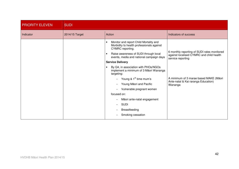| <b>PRIORITY ELEVEN</b> | <b>SUDI</b>    |                                                                                                                                                                                                                                                                                                                                                                                                                                                                                                                          |                                                                                                                                                                                                          |
|------------------------|----------------|--------------------------------------------------------------------------------------------------------------------------------------------------------------------------------------------------------------------------------------------------------------------------------------------------------------------------------------------------------------------------------------------------------------------------------------------------------------------------------------------------------------------------|----------------------------------------------------------------------------------------------------------------------------------------------------------------------------------------------------------|
| Indicator              | 2014/15 Target | Action                                                                                                                                                                                                                                                                                                                                                                                                                                                                                                                   | Indicators of success                                                                                                                                                                                    |
|                        |                | Monitor and report Child Mortality and<br>Morbidity to health professionals against<br>CYMRC reporting.<br>Raise awareness of SUDI through local<br>events, media and national campaign days<br><b>Service Delivery</b><br>By Q4, in association with PHOs/NGOs<br>implement a minimum of 3 Māori Wananga<br>targeting:<br>Young & 1 <sup>st</sup> time mum's<br>Young Māori and Pacific<br>Vulnerable pregnant women<br>focused on:<br>Māori ante-natal engagement<br><b>SUDI</b><br>Breastfeeding<br>Smoking cessation | 6 monthly reporting of SUDI rates monitored<br>against localised CYMRC and child health<br>service reporting<br>A minimum of 3 marae based MAKE (Māori<br>Ante-natal & Kai raranga Education)<br>Wananga |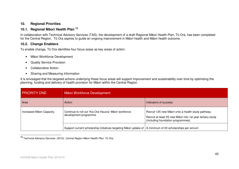## **10. Regional Priorities**

## **10.1. Regional M**ā**ori Health Plan <sup>15</sup>**

In collaboration with Technical Advisory Services (TAS), the development of a draft Regional Māori Health Plan, Tū Ora, has been completed for the Central Region. Tū Ora aspires to guide an ongoing improvement in Māori health and Māori health outcome.

## **10.2. Change Enablers**

To enable change, Tū Ora identifies four focus areas as key areas of action:

- Māori Workforce Development
- Quality Service Provision
- Collaborative Action
- Sharing and Measuring Information

It is envisaged that the targeted actions underlying these focus areas will support improvement and sustainability over time by optimising the planning, funding and delivery of health provision for Māori within the Central Region.

| <b>PRIORITY ONE</b>       | Māori Workforce Development                                                                                |                                                                                                                                                        |  |
|---------------------------|------------------------------------------------------------------------------------------------------------|--------------------------------------------------------------------------------------------------------------------------------------------------------|--|
| Area                      | Action                                                                                                     | I Indicators of success                                                                                                                                |  |
| Increased Māori Capacity. | Continue to roll out 'Kia Ora Hauora' Māori workforce<br>development programme.                            | Recruit 125 new Māori onto a health study pathway.<br>Recruit at least 25 new Māori into 1st year tertiary study<br>(including foundation programmes). |  |
|                           | Support current scholarship initiatives targeting Māori uptake of   A minimum of 20 scholarships per annum |                                                                                                                                                        |  |

**<sup>15</sup>** Technical Advisory Services. (2010). Central Region Māori Health Plan: Tū Ora.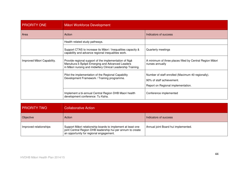| <b>PRIORITY ONE</b>        | Māori Workforce Development                                                                                                                                             |                                                                                                                      |  |
|----------------------------|-------------------------------------------------------------------------------------------------------------------------------------------------------------------------|----------------------------------------------------------------------------------------------------------------------|--|
| Area                       | Action                                                                                                                                                                  | Indicators of success                                                                                                |  |
|                            | Health related study pathways.                                                                                                                                          |                                                                                                                      |  |
|                            | Support CTAS to increase its Māori / Inequalities capacity &<br>capability and advance regional inequalities work.                                                      | Quarterly meetings                                                                                                   |  |
| Improved Māori Capability. | Provide regional support of the implementation of Nga<br>Manukura ō Āpōpō Emerging and Advanced Leaders<br>in Māori nursing and midwifery Clinical Leadership Training. | A minimum of three places filled by Central Region Māori<br>nurses annually                                          |  |
|                            | Pilot the implementation of the Regional Capability<br>Development Framework / Training programme.                                                                      | Number of staff enrolled (Maximum 40 regionally).<br>90% of staff achievement.<br>Report on Regional implementation. |  |
|                            | Implement a bi-annual Central Region DHB Maori health<br>development conference: Tu Kaha.                                                                               | Conference implemented                                                                                               |  |

| <b>PRIORITY TWO</b>    | <b>Collaborative Action</b>                                                                                                                                           |                                     |  |
|------------------------|-----------------------------------------------------------------------------------------------------------------------------------------------------------------------|-------------------------------------|--|
| Objective              | Action                                                                                                                                                                | Indicators of success               |  |
| Improved relationships | Support Māori relationship boards to implement at least one<br>joint Central Region DHB leadership hui per annum to create<br>an opportunity for regional engagement. | Annual joint Board hui implemented. |  |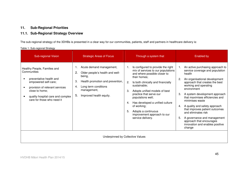## **11. Sub-Regional Priorities**

## **11.1. Sub-Regional Strategy Overview**

The sub-regional strategy of the 3DHBs is presented in a clear way for our communities, patients, staff and partners in healthcare delivery is:

Table 1: Sub-regional Strategy

| Sub-regional Vision                                                                                                                                                                                                   | <b>Strategic Areas of Focus</b>                                                                                                                                                                     | Through a system that                                                                                                                                                                                                                                                                                                                                                                                                | Enabled by                                                                                                                                                                                                                                                                                                                                                                                                                                                                                                |
|-----------------------------------------------------------------------------------------------------------------------------------------------------------------------------------------------------------------------|-----------------------------------------------------------------------------------------------------------------------------------------------------------------------------------------------------|----------------------------------------------------------------------------------------------------------------------------------------------------------------------------------------------------------------------------------------------------------------------------------------------------------------------------------------------------------------------------------------------------------------------|-----------------------------------------------------------------------------------------------------------------------------------------------------------------------------------------------------------------------------------------------------------------------------------------------------------------------------------------------------------------------------------------------------------------------------------------------------------------------------------------------------------|
| Healthy People, Families and<br>Communities<br>preventative health and<br>empowered self-care;<br>provision of relevant services<br>close to home;<br>quality hospital care and complex<br>care for those who need it | Acute demand management,<br>Older people's health and well-<br>2.<br>being,<br>Health promotion and prevention,<br>З.<br>Long term conditions<br>4.<br>management,<br>Improved health equity.<br>5. | Is configured to provide the right<br>mix of services to our populations<br>and where possible closer to<br>their homes;<br>2.<br>Is both clinically and financially<br>sustainable;<br>3.<br>Adopts unified models of best<br>practice that serve our<br>populations well;<br>Has developed a unified culture<br>4.<br>of working;<br>5.<br>Adopts a continuous<br>improvement approach to our<br>service delivery. | An active purchasing approach to<br>1.<br>service coverage and population<br>health<br>An organisational development<br>approach that creates the best<br>working and operating<br>environment<br>A system development approach<br>3.<br>that maximises efficiencies and<br>minimises waste<br>A quality and safety approach<br>4.<br>that improves patient outcomes<br>and eliminates risk<br>A governance and management<br>5.<br>approach that encourages<br>innovation and enables positive<br>change |
| Underpinned by Collective Values                                                                                                                                                                                      |                                                                                                                                                                                                     |                                                                                                                                                                                                                                                                                                                                                                                                                      |                                                                                                                                                                                                                                                                                                                                                                                                                                                                                                           |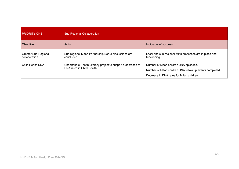| <b>PRIORITY ONE</b>                   | <b>Sub-Regional Collaboration</b>                                                          |                                                                                                                                                 |  |
|---------------------------------------|--------------------------------------------------------------------------------------------|-------------------------------------------------------------------------------------------------------------------------------------------------|--|
| Objective                             | Action                                                                                     | Indicators of success                                                                                                                           |  |
| Greater Sub-Regional<br>collaboration | Sub-regional Māori Partnership Board discussions are<br>concluded                          | Local and sub-regional MPB processes are in place and<br>functioning.                                                                           |  |
| Child Health DNA                      | Undertake a Health Literacy project to support a decrease of<br>DNA rates in Child Health. | Number of Māori children DNA episodes.<br>Number of Māori children DNA follow up events completed.<br>Decrease in DNA rates for Māori children. |  |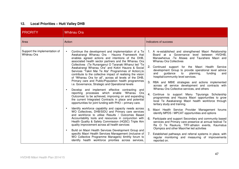## **12. Local Priorities – Hutt Valley DHB**

| PRIORITY                                    | Whānau Ora                                                                                                                                                                                                                                                                                                                                                                                                                                                                                                                                                                                                                                                                                                                                                                                                                                                                                                                                                                                                                                                                                                                                                                                                                                                                                                                                                                                                                                                                                                    |                                                                                                                                                                                                                                                                                                                                                                                                                                                                                                                                                                                                                                                                                                                                                                                                                                                                                                                                                                                                                                                                                                                                                                                                                                                      |  |
|---------------------------------------------|---------------------------------------------------------------------------------------------------------------------------------------------------------------------------------------------------------------------------------------------------------------------------------------------------------------------------------------------------------------------------------------------------------------------------------------------------------------------------------------------------------------------------------------------------------------------------------------------------------------------------------------------------------------------------------------------------------------------------------------------------------------------------------------------------------------------------------------------------------------------------------------------------------------------------------------------------------------------------------------------------------------------------------------------------------------------------------------------------------------------------------------------------------------------------------------------------------------------------------------------------------------------------------------------------------------------------------------------------------------------------------------------------------------------------------------------------------------------------------------------------------------|------------------------------------------------------------------------------------------------------------------------------------------------------------------------------------------------------------------------------------------------------------------------------------------------------------------------------------------------------------------------------------------------------------------------------------------------------------------------------------------------------------------------------------------------------------------------------------------------------------------------------------------------------------------------------------------------------------------------------------------------------------------------------------------------------------------------------------------------------------------------------------------------------------------------------------------------------------------------------------------------------------------------------------------------------------------------------------------------------------------------------------------------------------------------------------------------------------------------------------------------------|--|
| Area                                        | Action                                                                                                                                                                                                                                                                                                                                                                                                                                                                                                                                                                                                                                                                                                                                                                                                                                                                                                                                                                                                                                                                                                                                                                                                                                                                                                                                                                                                                                                                                                        | Indicators of success                                                                                                                                                                                                                                                                                                                                                                                                                                                                                                                                                                                                                                                                                                                                                                                                                                                                                                                                                                                                                                                                                                                                                                                                                                |  |
| Support the implementation of<br>Whānau Ora | Continue the development and implementation of a Te<br>Awakairangi Whanau Ora - Hauora Framework that<br>enables agreed actions and intentions of the DHB,<br>associated health sector partners and the Whanau Ora<br>Collectives (Te Runanganui O Taranaki Whanui led "Te<br>Awakairangi Whanau Ora" and Kokiri Hauora & Social<br>Services "Takiri Mai Te Ata" Programmes of Action), to<br>contribute to the collective impact of realising the vision<br>of "Whanau Ora for all", across all levels of the DHB,<br>Primary care and Public/Population health programmes<br>i.e. Governance, Strategic and Operational levels<br>Develop and implement effective contracting and<br>reporting processes which enable 'Whanau<br>Ora<br>Outcomes' to be achieved, improving on and expanding<br>the current Integrated Contracts in place and potential<br>opportunities for joint funding with PHO - primary care.<br>Identify workforce capability and capacity needs across<br>WO Collectives, DHB/SIDU and Primary care services<br>and workforce to utilise Results / Outcomes Based<br>Accountability tools and resources in conjunction with<br>Health Quality & Safety Commission (HQSC) Triple Aim<br>quality improvement across all health services<br>Build on Maori Health Services Development Group and<br>$\bullet$<br>specific Maori Health Services Management (inclusive of<br>WO Collective Programme Managers) 6mthly forum to<br>identify health workforce priorities across services, | 1. A re-established and strengthened Maori Relationship<br>Board at a Governance level between HVDHB,<br>Manawhenua - Te Atiawa and Taurahere Maori and<br><b>Whanau Ora Collectives</b><br>2.<br>Continued support for the Maori Health Service<br>development Group to provide operational level advice<br>guidance<br>planning,<br>and<br>to<br>funding<br>and<br>hospital/community level services.<br>3.<br>RBA and MBIE strategies and actions implemented<br>across all service development and contracts with<br>Whanau Ora Collective services, and others<br>Continue to support Manu Tipuranga Scholarship<br>4.<br>programmes and Hauora Maori opportunities to grow<br>local Te Awakairangi Maori health workforce through<br>tertiary study and training.<br>5.<br>Maori Health Service Provider Management forums<br>identify MPDS / MPCAT opportunities and options<br>Participate and support Secondary and community based<br>6.<br>services and Primary care presence at annual festival Te<br>Ra O Te Raukura, TRY-athalon events, Kaumatua<br>Olympics and other Maori/Iwi led activities<br>7.<br>Established pathways and referral systems in place, with<br>regular monitoring and measuring of improvements<br>reported on. |  |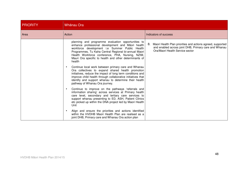| <b>PRIORITY</b> | Whānau Ora                                                                                                                                                                                                                                                                                                                                    |                                                                                                                                                              |  |
|-----------------|-----------------------------------------------------------------------------------------------------------------------------------------------------------------------------------------------------------------------------------------------------------------------------------------------------------------------------------------------|--------------------------------------------------------------------------------------------------------------------------------------------------------------|--|
| Area            | Action                                                                                                                                                                                                                                                                                                                                        | Indicators of success                                                                                                                                        |  |
|                 | planning and programme evaluation opportunities to<br>enhance professional development and Mäori health<br>workforce development i.e Summer Public Health<br>Programmes, Tu Kaha Central Regional bi-annual Maori<br>Health Workforce conference, PHA, Nursing, NZIM,<br>Mauri Ora specific to health and other determinants of<br>health     | Maori Health Plan priorities and actions agreed, supported<br>8.<br>and enabled across joint DHB, Primary care and Whanau<br>Ora/Maori Health Service sector |  |
|                 | Continue local work between primary care and Whanau<br>$\bullet$<br>Ora collectives to expand shared health promotion<br>initiatives, reduce the impact of long term conditions and<br>improve child health through collaborative initiatives that<br>identify and support whanau to determine their health<br>pathway of Whanau Ora journey. |                                                                                                                                                              |  |
|                 | Continue to improve on the pathways 'referrals and<br>$\bullet$<br>information sharing' across services at Primary health<br>care level, secondary and tertiary care services to<br>support whanau presenting to ED, ASH, Patient Clinics<br>etc picked up within the DNA project led by Maori Health<br>Unit                                 |                                                                                                                                                              |  |
|                 | Align and ensure the priorities and actions identified<br>$\bullet$<br>within the HVDHB Maori Health Plan are realised as a<br>joint DHB, Primary care and Whanau Ora action plan                                                                                                                                                             |                                                                                                                                                              |  |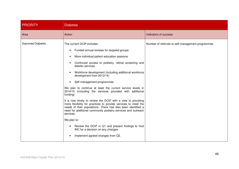| <b>PRIORITY</b>          | <b>Diabetes</b>                                                                                                                                                                                                                                                                                                                                                                                                                                                                                                                                                                                                                                                                                                                                                                                                                                                                                                     |                                                   |
|--------------------------|---------------------------------------------------------------------------------------------------------------------------------------------------------------------------------------------------------------------------------------------------------------------------------------------------------------------------------------------------------------------------------------------------------------------------------------------------------------------------------------------------------------------------------------------------------------------------------------------------------------------------------------------------------------------------------------------------------------------------------------------------------------------------------------------------------------------------------------------------------------------------------------------------------------------|---------------------------------------------------|
| Area                     | Action                                                                                                                                                                                                                                                                                                                                                                                                                                                                                                                                                                                                                                                                                                                                                                                                                                                                                                              | Indicators of success                             |
| <b>Improved Diabetes</b> | The current DCIP includes:<br>Funded annual reviews for targeted groups<br>$\bullet$<br>More individual patient education sessions<br>Continued access to podiatry, retinal screening and<br>dietetic services<br>Workforce development (including additional workforce<br>development from 2013/14)<br>Self management programmes<br>$\bullet$<br>We plan to continue at least the current service levels in<br>2014/15 (including the services provided with additional<br>funding)<br>It is now timely to review the DCIP with a view to providing<br>more flexibility for practices to provide services to meet the<br>needs of their populations. There has also been identified a<br>need for additional community podiatry services and outreach<br>services.<br>We plan to:<br>Review the DCIP in Q1 and present findings to Hutt<br>INC for a decision on any changes<br>Implement agreed changes from Q2. | Number of referrals to self-management programmes |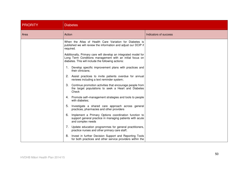| <b>PRIORITY</b> | <b>Diabetes</b>                                                                                                                                                                   |                       |  |
|-----------------|-----------------------------------------------------------------------------------------------------------------------------------------------------------------------------------|-----------------------|--|
| Area            | Action                                                                                                                                                                            | Indicators of success |  |
|                 | When the Atlas of Health Care Variation for Diabetes is<br>published we will review the information and adjust our DCIP if<br>required.                                           |                       |  |
|                 | Additionally, Primary care will develop an integrated model for<br>Long Term Conditions management with an initial focus on<br>diabetes. This will include the following actions: |                       |  |
|                 | 1. Develop specific improvement plans with practices and<br>their clinicians;                                                                                                     |                       |  |
|                 | 2. Assist practices to invite patients overdue for annual<br>reviews including a text reminder system;                                                                            |                       |  |
|                 | 3. Continue promotion activities that encourage people from<br>the target populations to seek a Heart and Diabetes<br>Check                                                       |                       |  |
|                 | 4. Promote self-management strategies and tools to people<br>with diabetes;                                                                                                       |                       |  |
|                 | 5. Investigate a shared care approach across general<br>practices, pharmacies and other providers                                                                                 |                       |  |
|                 | Implement a Primary Options coordination function to<br>6.<br>support general practice in managing patients with acute<br>and complex needs                                       |                       |  |
|                 | 7. Update education programmes for general practitioners,<br>practice nurses and other primary care staff;                                                                        |                       |  |
|                 | Invest in further Decision Support and Reporting Tools<br>8.<br>for both practices and other service providers within the                                                         |                       |  |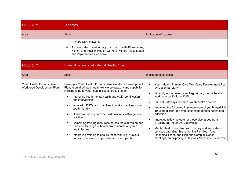| <b>PRIORITY</b> | <b>Diabetes</b>                                                                                                                                                               |  |
|-----------------|-------------------------------------------------------------------------------------------------------------------------------------------------------------------------------|--|
| Area            | Action<br>Indicators of success                                                                                                                                               |  |
|                 | Primary Care network.<br>9. An integrated provider approach e.g. with Pharmacies,<br>Kokiri, and Pacific Health workers will be investigated<br>and implemented if effective. |  |

| PRIORITY                                                | Prime Minister's Youth Mental Health Project                                                                                                                                                                                                                                                                                                                                                                                                                                                                                                                                                                                                                 |                                                                                                                                                                                                                                                                                                                                                                                                                                                                                                                                                                                                                                                                                                                            |  |
|---------------------------------------------------------|--------------------------------------------------------------------------------------------------------------------------------------------------------------------------------------------------------------------------------------------------------------------------------------------------------------------------------------------------------------------------------------------------------------------------------------------------------------------------------------------------------------------------------------------------------------------------------------------------------------------------------------------------------------|----------------------------------------------------------------------------------------------------------------------------------------------------------------------------------------------------------------------------------------------------------------------------------------------------------------------------------------------------------------------------------------------------------------------------------------------------------------------------------------------------------------------------------------------------------------------------------------------------------------------------------------------------------------------------------------------------------------------------|--|
| Area                                                    | Action                                                                                                                                                                                                                                                                                                                                                                                                                                                                                                                                                                                                                                                       | Indicators of success                                                                                                                                                                                                                                                                                                                                                                                                                                                                                                                                                                                                                                                                                                      |  |
| Youth Health Primary Care<br>Workforce Development Plan | Develop a Youth Health Primary Care Workforce Development<br>Plan, to build primary health workforce capacity and capability<br>in responding to youth health issues. Focusing on:<br>Improving youth mental health and AOD identification<br>and intervention<br>Work with PHOs and practices to make practices more<br>youth-friendly<br>Consideration of youth focused positions within general<br>practice<br>Combining training resources across the sub-region and<br>train a wider range of health professionals on youth<br>health issues.<br>Integrating training to ensure those working in NGOs,<br>general practice, DHB provider arms and youth | Youth Health Primary Care Workforce Development Plan<br>$\bullet$<br>by December 2014<br>Quantify some development eg primary mental health<br>workforce by 30 June 2015<br>Clinical Pathways for three youth health services<br>$\bullet$<br>Improved the follow-up in primary care of youth aged 12-<br>$\bullet$<br>19 years discharged from secondary mental health and<br>addiction<br>Improved follow-up care for those discharged from<br>$\bullet$<br>CAMHS and Youth AOD services.<br>Mental Health providers from primary and secondary<br>$\bullet$<br>services attending Strengthening Families, Youth<br>Offending Team, and High and Complex Needs<br>meetings, participating in Gateway Assessments and the |  |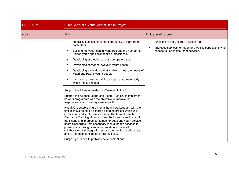| <b>PRIORITY</b> | Prime Minister's Youth Mental Health Project                                                                                                                                                                                                                                                                                                                                                                                                                                                                                                                                                                                                                                                                                                                                                                                                                                                                                                                                                                                                                                                                                                                                                                                                                                                           |                                                                                                                                                        |
|-----------------|--------------------------------------------------------------------------------------------------------------------------------------------------------------------------------------------------------------------------------------------------------------------------------------------------------------------------------------------------------------------------------------------------------------------------------------------------------------------------------------------------------------------------------------------------------------------------------------------------------------------------------------------------------------------------------------------------------------------------------------------------------------------------------------------------------------------------------------------------------------------------------------------------------------------------------------------------------------------------------------------------------------------------------------------------------------------------------------------------------------------------------------------------------------------------------------------------------------------------------------------------------------------------------------------------------|--------------------------------------------------------------------------------------------------------------------------------------------------------|
| Area            | Action                                                                                                                                                                                                                                                                                                                                                                                                                                                                                                                                                                                                                                                                                                                                                                                                                                                                                                                                                                                                                                                                                                                                                                                                                                                                                                 | Indicators of success                                                                                                                                  |
|                 | speciality services have the opportunity to learn from<br>each other.<br>Building the youth health workforce and the number of<br>trained youth specialist health professionals<br>Developing strategies to retain competent staff<br>Developing career pathways in youth health<br>Developing a workforce that is able to meet the needs of<br>Maori and Pacific young people<br>Improving access to training and post graduate study<br>within the sub-region<br>Support the Alliance Leadership Team - Hutt INC<br>Support the Alliance Leadership Team Hutt INC to implement<br>its work programme with the objective to improve the<br>responsiveness of primary care to youth.<br>Hutt INC is establishing a mental health workstream, with the<br>first initiative being a discharge planning project which will<br>cover adult and youth service users. The Mental Health<br>Discharge Planning (Adult and Youth) Project aims to smooth<br>transitions and improve outcomes for adult and youth service<br>users discharged from secondary mental health services to<br>primary care through clearer information, increased<br>collaboration and integration across the mental health sector,<br>and to increase confidence for all involved.<br>Support youth health pathway development and | functions of the Children's Action Plan.<br>Improved services for Maori and Pacific populations who<br>$\bullet$<br>choose to use mainstream services. |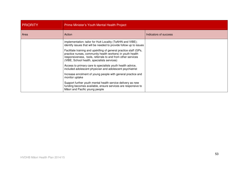| <b>PRIORITY</b> | Prime Minister's Youth Mental Health Project                                                                                                                                                                                                   |                       |  |
|-----------------|------------------------------------------------------------------------------------------------------------------------------------------------------------------------------------------------------------------------------------------------|-----------------------|--|
| Area            | Action                                                                                                                                                                                                                                         | Indicators of success |  |
|                 | implementation; tailor for Hutt Locality (TeAHN and VIBE);<br>identify issues that will be needed to provide follow up to issues                                                                                                               |                       |  |
|                 | Facilitate training and upskilling of general practice staff (GPs,<br>practice nurses, community health workers) in youth health<br>responsiveness, tools, referrals to and from other services<br>(VIBE, School health, specialists services) |                       |  |
|                 | Access to primary care to specialists youth health advice,<br>included adolescent physician and adolescent psychiatrist                                                                                                                        |                       |  |
|                 | Increase enrolment of young people with general practice and<br>monitor uptake                                                                                                                                                                 |                       |  |
|                 | Support further youth mental health service delivery as new<br>funding becomes available, ensure services are responsive to<br>Māori and Pacific young people                                                                                  |                       |  |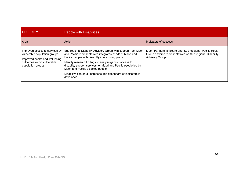| <b>PRIORITY</b>                                                                                                                                     | People with Disabilities                                                                                                                                                                                                                                                                                                                                                                                                           |                                                                                                                                              |
|-----------------------------------------------------------------------------------------------------------------------------------------------------|------------------------------------------------------------------------------------------------------------------------------------------------------------------------------------------------------------------------------------------------------------------------------------------------------------------------------------------------------------------------------------------------------------------------------------|----------------------------------------------------------------------------------------------------------------------------------------------|
| Area                                                                                                                                                | Action                                                                                                                                                                                                                                                                                                                                                                                                                             | Indicators of success                                                                                                                        |
| Improved access to services by<br>vulnerable population groups<br>Improved health and well-being<br>outcomes within vulnerable<br>population groups | Sub-regional Disability Advisory Group with support from Maori<br>and Pacific representatives integrates needs of Maori and<br>Pacific people with disability into existing plans<br>Identify research findings to analyse gaps in access to<br>disability support services for Maori and Pacific people led by<br>Maori and Pacific disabled people<br>Disability icon data increases and dashboard of indicators is<br>developed | Maori Partnership Board and Sub Regional Pacific Health<br>Group endorse representatives on Sub-regional Disability<br><b>Advisory Group</b> |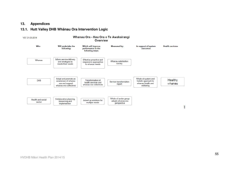#### **13. Appendices**

## **13.1. Hutt Valley DHB Whânau Ora Intervention Logic**

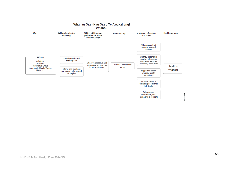

#### Whanau Ora - Hau Ora o Te Awakairangi **Whanau**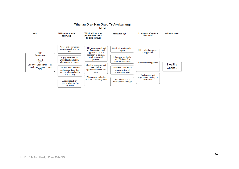#### Whanau Ora - Hau Ora o Te Awakairangi **DHB**

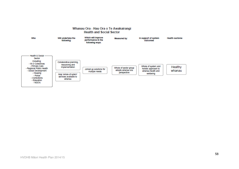#### Whanau Ora - Hau Ora o Te Awakairangi **Health and Social Sector**

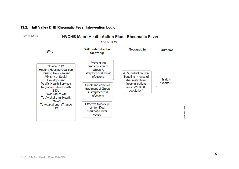## **13.2. Hutt Valley DHB Rheumatic Fever Intervention Logic**

V01 16-05-2014

## **HVDHB Maori Health Action Plan - Rheumatic Fever**

**OVERVIEW** 

| Who                                                                                                                          | Will undertake the<br>following:                                                              | <b>Measured by:</b>                                            | Outcome |
|------------------------------------------------------------------------------------------------------------------------------|-----------------------------------------------------------------------------------------------|----------------------------------------------------------------|---------|
| Cosine PHO<br><b>Healthy Housing Coalition</b><br><b>Housing New Zealand</b><br>Ministry of Social<br>Development            | <b>Prevent the</b><br>transmission of<br>Group A<br>streptococcal throat<br><b>infections</b> | 40 % reduction from<br>baseline in rates of<br>rheumatic fever | Healthy |
| <b>Pacific Health Services</b><br><b>Regional Public Health</b><br><b>SIDU</b><br>Takiri Mai te Ata<br>Te Awakairangi Health | Quick and effective<br>treatment of Group<br>A streptococcal<br><i>infections</i>             | hospitalisations<br>cases/100,000)<br>population)              | Whanau  |
| <b>Network</b><br>Te Awakairangi Whanau<br>Ora                                                                               | Effective follow-up<br>of identified<br>rheumatic fever<br>cases                              |                                                                |         |

doview.com model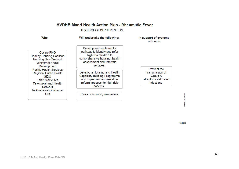| Who                                                                                                                                                                     | Will undertake the following:                                                                                                                               | In support of systems<br>outcome                                                              |  |
|-------------------------------------------------------------------------------------------------------------------------------------------------------------------------|-------------------------------------------------------------------------------------------------------------------------------------------------------------|-----------------------------------------------------------------------------------------------|--|
| Cosine PHO<br><b>Healthy Housing Coalition</b><br><b>Housing New Zealand</b><br>Ministry of Social<br>Development                                                       | Develop and implement a<br>pathway to identify and refer<br>high risk children to<br>comprehensive housing, health<br>assessment and referrals<br>services. |                                                                                               |  |
| <b>Pacific Health Services</b><br><b>Regional Public Health</b><br><b>SIDU</b><br>Takiri Mai te Ata<br>Te Awakairangi Health<br><b>Network</b><br>Te Awakairangi Whanau | Develop a Housing and Health<br><b>Capability Building Programme</b><br>and implement an insulation<br>referral process for high-risk<br>patients.          | <b>Prevent the</b><br>transmission of<br>Group A<br>streptococcal throat<br><b>infections</b> |  |
| Ora                                                                                                                                                                     | Raise community awareness                                                                                                                                   |                                                                                               |  |

Page 2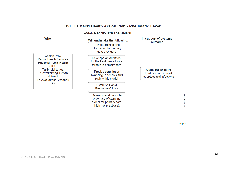## **HVDHB Maori Health Action Plan - Rheumatic Fever**

#### QUICK & EFFECTIVE TREATMENT

**Establish Rapid Response Clinics** 

Developmand promote

wider use of standing orders for primary care (high risk practices).

Cosine PHO **Pacific Health Services Regional Public Health SIDU** Takiri Mai te Ata Te Awakairangi Health Network Te Awakairangi Whanau Ora

#### In support of systems Will undertake the following: outcome Provide training and information for primary care providers Develope an audit tool for the treatment of sore throats in primary care Provide sore throat swabbing in schools and review this model

Quick and effective treatment of Group A streptococcal infections

Page 3

doview.com model